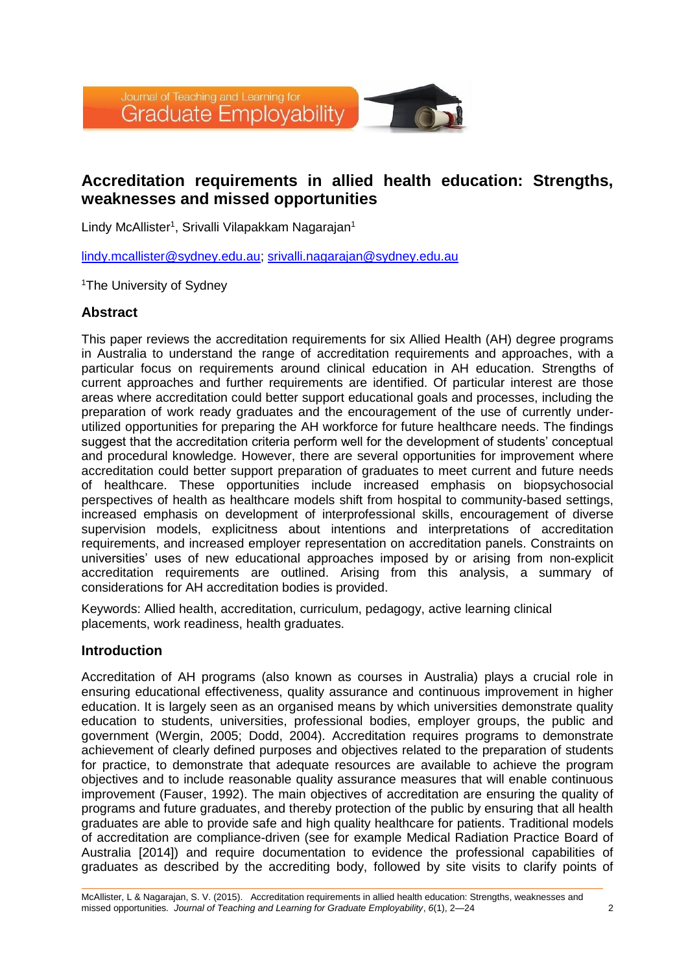

# **Accreditation requirements in allied health education: Strengths, weaknesses and missed opportunities**

Lindy McAllister<sup>1</sup>, Srivalli Vilapakkam Nagarajan<sup>1</sup>

[lindy.mcallister@sydney.edu.au;](mailto:lindy.mcallister@sydney.edu.au) [srivalli.nagarajan@sydney.edu.au](mailto:srivalli.nagarajan@sydney.edu.au)

<sup>1</sup>The University of Sydney

### **Abstract**

This paper reviews the accreditation requirements for six Allied Health (AH) degree programs in Australia to understand the range of accreditation requirements and approaches, with a particular focus on requirements around clinical education in AH education. Strengths of current approaches and further requirements are identified. Of particular interest are those areas where accreditation could better support educational goals and processes, including the preparation of work ready graduates and the encouragement of the use of currently underutilized opportunities for preparing the AH workforce for future healthcare needs. The findings suggest that the accreditation criteria perform well for the development of students' conceptual and procedural knowledge. However, there are several opportunities for improvement where accreditation could better support preparation of graduates to meet current and future needs of healthcare. These opportunities include increased emphasis on biopsychosocial perspectives of health as healthcare models shift from hospital to community-based settings, increased emphasis on development of interprofessional skills, encouragement of diverse supervision models, explicitness about intentions and interpretations of accreditation requirements, and increased employer representation on accreditation panels. Constraints on universities' uses of new educational approaches imposed by or arising from non-explicit accreditation requirements are outlined. Arising from this analysis, a summary of considerations for AH accreditation bodies is provided.

Keywords: Allied health, accreditation, curriculum, pedagogy, active learning clinical placements, work readiness, health graduates.

### **Introduction**

Accreditation of AH programs (also known as courses in Australia) plays a crucial role in ensuring educational effectiveness, quality assurance and continuous improvement in higher education. It is largely seen as an organised means by which universities demonstrate quality education to students, universities, professional bodies, employer groups, the public and government (Wergin, 2005; Dodd, 2004). Accreditation requires programs to demonstrate achievement of clearly defined purposes and objectives related to the preparation of students for practice, to demonstrate that adequate resources are available to achieve the program objectives and to include reasonable quality assurance measures that will enable continuous improvement (Fauser, 1992). The main objectives of accreditation are ensuring the quality of programs and future graduates, and thereby protection of the public by ensuring that all health graduates are able to provide safe and high quality healthcare for patients. Traditional models of accreditation are compliance-driven (see for example Medical Radiation Practice Board of Australia [2014]) and require documentation to evidence the professional capabilities of graduates as described by the accrediting body, followed by site visits to clarify points of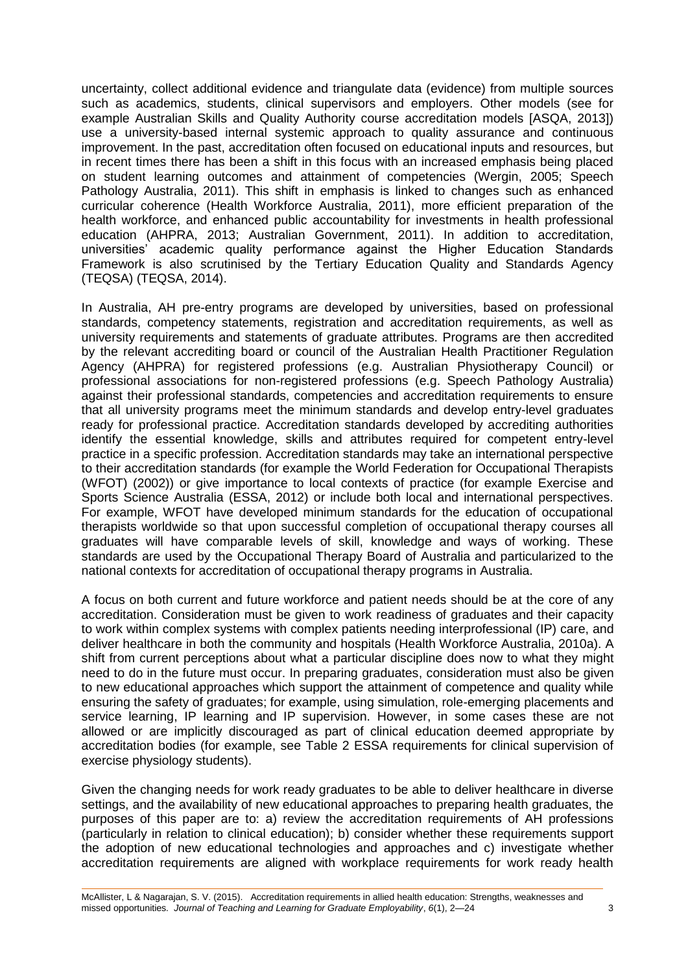uncertainty, collect additional evidence and triangulate data (evidence) from multiple sources such as academics, students, clinical supervisors and employers. Other models (see for example Australian Skills and Quality Authority course accreditation models [ASQA, 2013]) use a university-based internal systemic approach to quality assurance and continuous improvement. In the past, accreditation often focused on educational inputs and resources, but in recent times there has been a shift in this focus with an increased emphasis being placed on student learning outcomes and attainment of competencies (Wergin, 2005; Speech Pathology Australia, 2011). This shift in emphasis is linked to changes such as enhanced curricular coherence (Health Workforce Australia, 2011), more efficient preparation of the health workforce, and enhanced public accountability for investments in health professional education (AHPRA, 2013; Australian Government, 2011). In addition to accreditation, universities' academic quality performance against the Higher Education Standards Framework is also scrutinised by the Tertiary Education Quality and Standards Agency (TEQSA) (TEQSA, 2014).

In Australia, AH pre-entry programs are developed by universities, based on professional standards, competency statements, registration and accreditation requirements, as well as university requirements and statements of graduate attributes. Programs are then accredited by the relevant accrediting board or council of the Australian Health Practitioner Regulation Agency (AHPRA) for registered professions (e.g. Australian Physiotherapy Council) or professional associations for non-registered professions (e.g. Speech Pathology Australia) against their professional standards, competencies and accreditation requirements to ensure that all university programs meet the minimum standards and develop entry-level graduates ready for professional practice. Accreditation standards developed by accrediting authorities identify the essential knowledge, skills and attributes required for competent entry-level practice in a specific profession. Accreditation standards may take an international perspective to their accreditation standards (for example the World Federation for Occupational Therapists (WFOT) (2002)) or give importance to local contexts of practice (for example Exercise and Sports Science Australia (ESSA, 2012) or include both local and international perspectives. For example, WFOT have developed minimum standards for the education of occupational therapists worldwide so that upon successful completion of occupational therapy courses all graduates will have comparable levels of skill, knowledge and ways of working. These standards are used by the Occupational Therapy Board of Australia and particularized to the national contexts for accreditation of occupational therapy programs in Australia.

A focus on both current and future workforce and patient needs should be at the core of any accreditation. Consideration must be given to work readiness of graduates and their capacity to work within complex systems with complex patients needing interprofessional (IP) care, and deliver healthcare in both the community and hospitals (Health Workforce Australia, 2010a). A shift from current perceptions about what a particular discipline does now to what they might need to do in the future must occur. In preparing graduates, consideration must also be given to new educational approaches which support the attainment of competence and quality while ensuring the safety of graduates; for example, using simulation, role-emerging placements and service learning, IP learning and IP supervision. However, in some cases these are not allowed or are implicitly discouraged as part of clinical education deemed appropriate by accreditation bodies (for example, see Table 2 ESSA requirements for clinical supervision of exercise physiology students).

Given the changing needs for work ready graduates to be able to deliver healthcare in diverse settings, and the availability of new educational approaches to preparing health graduates, the purposes of this paper are to: a) review the accreditation requirements of AH professions (particularly in relation to clinical education); b) consider whether these requirements support the adoption of new educational technologies and approaches and c) investigate whether accreditation requirements are aligned with workplace requirements for work ready health

McAllister, L & Nagarajan, S. V. (2015). Accreditation requirements in allied health education: Strengths, weaknesses and missed opportunities*. Journal of Teaching and Learning for Graduate Employability*, *6*(1), 2—24 3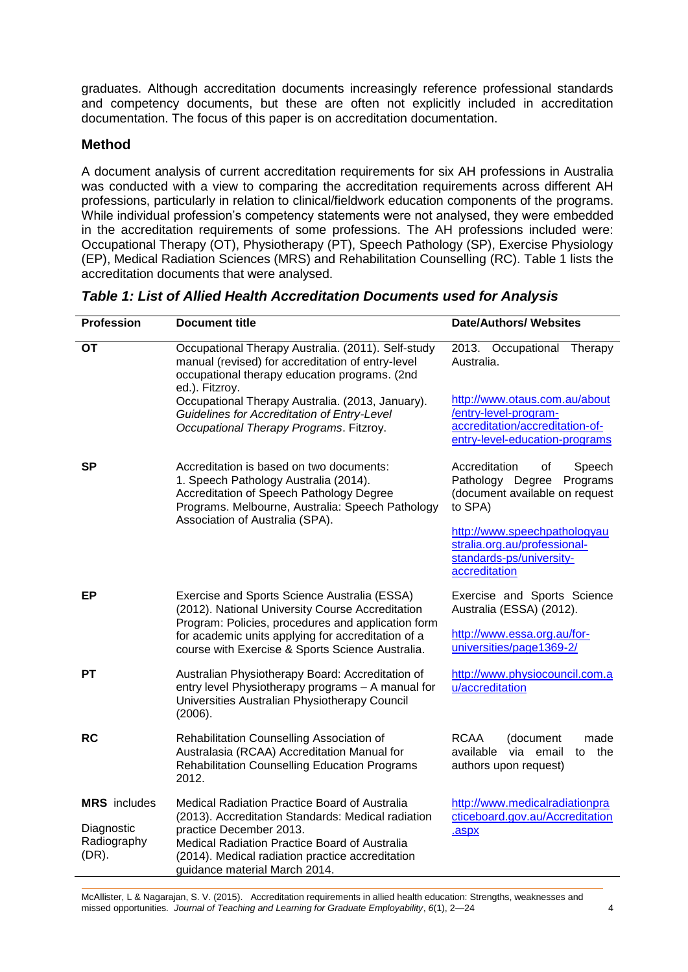graduates. Although accreditation documents increasingly reference professional standards and competency documents, but these are often not explicitly included in accreditation documentation. The focus of this paper is on accreditation documentation.

# **Method**

A document analysis of current accreditation requirements for six AH professions in Australia was conducted with a view to comparing the accreditation requirements across different AH professions, particularly in relation to clinical/fieldwork education components of the programs. While individual profession's competency statements were not analysed, they were embedded in the accreditation requirements of some professions. The AH professions included were: Occupational Therapy (OT), Physiotherapy (PT), Speech Pathology (SP), Exercise Physiology (EP), Medical Radiation Sciences (MRS) and Rehabilitation Counselling (RC). Table 1 lists the accreditation documents that were analysed.

| <b>Profession</b>                     | <b>Document title</b>                                                                                                                                                                                                | <b>Date/Authors/ Websites</b>                                                                                               |
|---------------------------------------|----------------------------------------------------------------------------------------------------------------------------------------------------------------------------------------------------------------------|-----------------------------------------------------------------------------------------------------------------------------|
| OT                                    | Occupational Therapy Australia. (2011). Self-study<br>manual (revised) for accreditation of entry-level<br>occupational therapy education programs. (2nd<br>ed.). Fitzroy.                                           | 2013. Occupational<br>Therapy<br>Australia.                                                                                 |
|                                       | Occupational Therapy Australia. (2013, January).<br><b>Guidelines for Accreditation of Entry-Level</b><br>Occupational Therapy Programs. Fitzroy.                                                                    | http://www.otaus.com.au/about<br>/entry-level-program-<br>accreditation/accreditation-of-<br>entry-level-education-programs |
| <b>SP</b>                             | Accreditation is based on two documents:<br>1. Speech Pathology Australia (2014).<br>Accreditation of Speech Pathology Degree<br>Programs. Melbourne, Australia: Speech Pathology<br>Association of Australia (SPA). | Accreditation<br>of<br>Speech<br>Pathology Degree<br>Programs<br>(document available on request<br>to SPA)                  |
|                                       |                                                                                                                                                                                                                      | http://www.speechpathologyau<br>stralia.org.au/professional-<br>standards-ps/university-<br>accreditation                   |
| ЕP                                    | Exercise and Sports Science Australia (ESSA)<br>(2012). National University Course Accreditation<br>Program: Policies, procedures and application form                                                               | Exercise and Sports Science<br>Australia (ESSA) (2012).                                                                     |
|                                       | for academic units applying for accreditation of a<br>course with Exercise & Sports Science Australia.                                                                                                               | http://www.essa.org.au/for-<br>universities/page1369-2/                                                                     |
| <b>PT</b>                             | Australian Physiotherapy Board: Accreditation of<br>entry level Physiotherapy programs - A manual for<br>Universities Australian Physiotherapy Council<br>(2006).                                                    | http://www.physiocouncil.com.a<br>u/accreditation                                                                           |
| <b>RC</b>                             | Rehabilitation Counselling Association of<br>Australasia (RCAA) Accreditation Manual for<br><b>Rehabilitation Counselling Education Programs</b><br>2012.                                                            | RCAA<br>(document<br>made<br>via email<br>available<br>the<br>to<br>authors upon request)                                   |
| <b>MRS</b> includes                   | Medical Radiation Practice Board of Australia<br>(2013). Accreditation Standards: Medical radiation                                                                                                                  | http://www.medicalradiationpra<br>cticeboard.gov.au/Accreditation                                                           |
| Diagnostic<br>Radiography<br>$(DR)$ . | practice December 2013.<br>Medical Radiation Practice Board of Australia<br>(2014). Medical radiation practice accreditation<br>guidance material March 2014.                                                        | .aspx                                                                                                                       |

*Table 1: List of Allied Health Accreditation Documents used for Analysis* 

McAllister, L & Nagarajan, S. V. (2015). Accreditation requirements in allied health education: Strengths, weaknesses and missed opportunities. Journal of Teaching and Learning for Graduate Employability, 6(1), 2—24 <sup>7</sup> <sup>4</sup>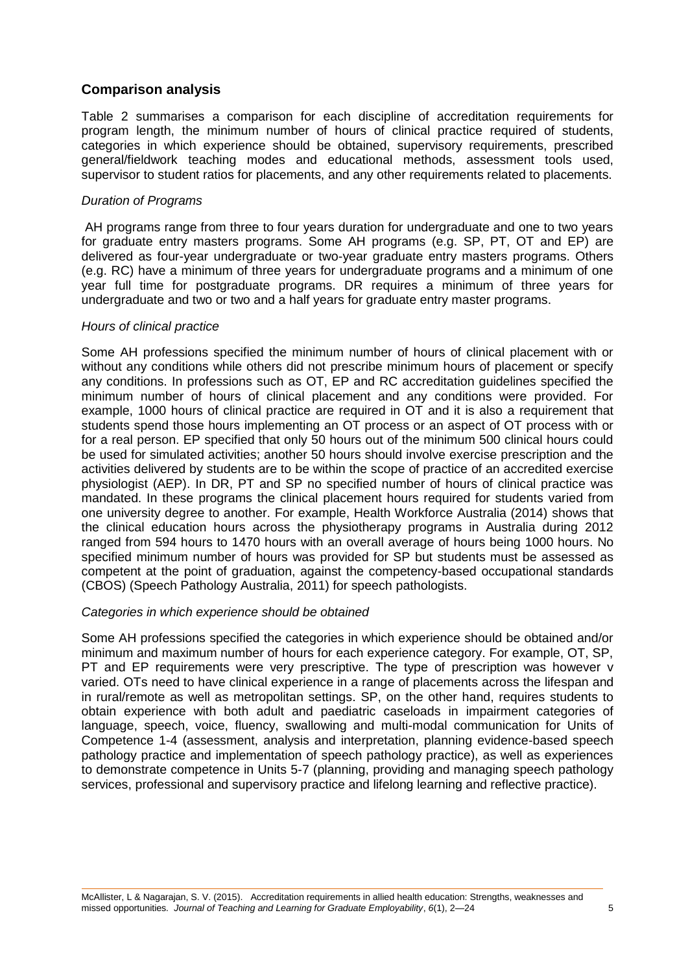### **Comparison analysis**

Table 2 summarises a comparison for each discipline of accreditation requirements for program length, the minimum number of hours of clinical practice required of students, categories in which experience should be obtained, supervisory requirements, prescribed general/fieldwork teaching modes and educational methods, assessment tools used, supervisor to student ratios for placements, and any other requirements related to placements.

#### *Duration of Programs*

AH programs range from three to four years duration for undergraduate and one to two years for graduate entry masters programs. Some AH programs (e.g. SP, PT, OT and EP) are delivered as four-year undergraduate or two-year graduate entry masters programs. Others (e.g. RC) have a minimum of three years for undergraduate programs and a minimum of one year full time for postgraduate programs. DR requires a minimum of three years for undergraduate and two or two and a half years for graduate entry master programs.

#### *Hours of clinical practice*

Some AH professions specified the minimum number of hours of clinical placement with or without any conditions while others did not prescribe minimum hours of placement or specify any conditions. In professions such as OT, EP and RC accreditation guidelines specified the minimum number of hours of clinical placement and any conditions were provided. For example, 1000 hours of clinical practice are required in OT and it is also a requirement that students spend those hours implementing an OT process or an aspect of OT process with or for a real person. EP specified that only 50 hours out of the minimum 500 clinical hours could be used for simulated activities; another 50 hours should involve exercise prescription and the activities delivered by students are to be within the scope of practice of an accredited exercise physiologist (AEP). In DR, PT and SP no specified number of hours of clinical practice was mandated. In these programs the clinical placement hours required for students varied from one university degree to another. For example, Health Workforce Australia (2014) shows that the clinical education hours across the physiotherapy programs in Australia during 2012 ranged from 594 hours to 1470 hours with an overall average of hours being 1000 hours. No specified minimum number of hours was provided for SP but students must be assessed as competent at the point of graduation, against the competency-based occupational standards (CBOS) (Speech Pathology Australia, 2011) for speech pathologists.

### *Categories in which experience should be obtained*

Some AH professions specified the categories in which experience should be obtained and/or minimum and maximum number of hours for each experience category. For example, OT, SP, PT and EP requirements were very prescriptive. The type of prescription was however v varied. OTs need to have clinical experience in a range of placements across the lifespan and in rural/remote as well as metropolitan settings. SP, on the other hand, requires students to obtain experience with both adult and paediatric caseloads in impairment categories of language, speech, voice, fluency, swallowing and multi-modal communication for Units of Competence 1-4 (assessment, analysis and interpretation, planning evidence-based speech pathology practice and implementation of speech pathology practice), as well as experiences to demonstrate competence in Units 5-7 (planning, providing and managing speech pathology services, professional and supervisory practice and lifelong learning and reflective practice).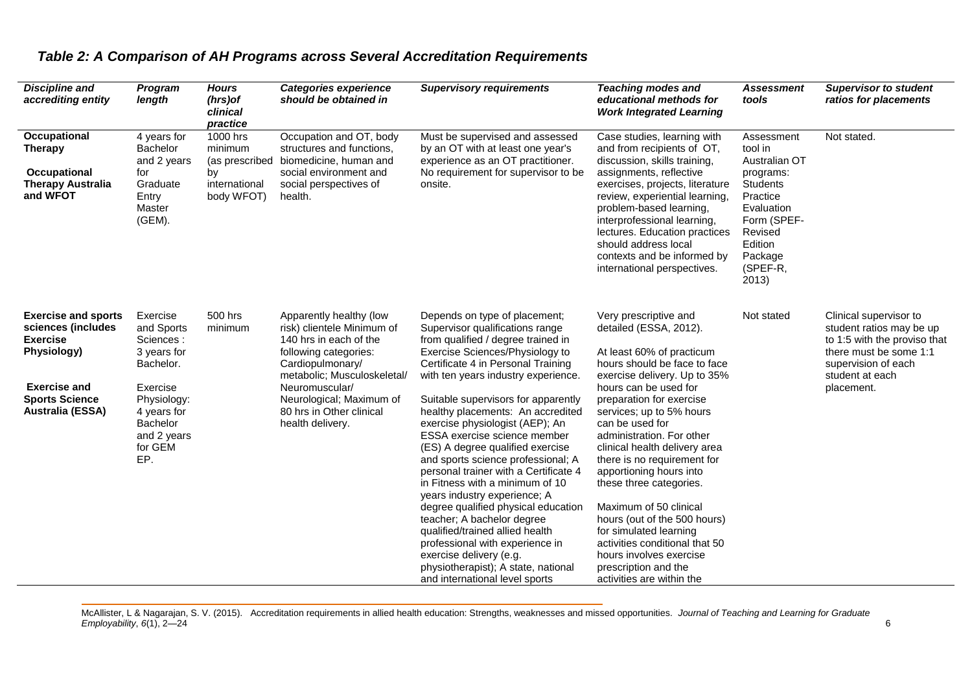| <b>Discipline and</b><br>accrediting entity                                                                                                            | Program<br>length                                                                                                                                      | <b>Hours</b><br>(hrs)of<br>clinical<br>practice                            | <b>Categories experience</b><br>should be obtained in                                                                                                                                                                                                     | <b>Supervisory requirements</b>                                                                                                                                                                                                                                                                                                                                                                                                                                                                                                                                                                                                                                                                                                                                                                            | <b>Teaching modes and</b><br>educational methods for<br><b>Work Integrated Learning</b>                                                                                                                                                                                                                                                                                                                                                                                                                                                                                                                   | Assessment<br>tools                                                                                                                                                   | <b>Supervisor to student</b><br>ratios for placements                                                                                                                |
|--------------------------------------------------------------------------------------------------------------------------------------------------------|--------------------------------------------------------------------------------------------------------------------------------------------------------|----------------------------------------------------------------------------|-----------------------------------------------------------------------------------------------------------------------------------------------------------------------------------------------------------------------------------------------------------|------------------------------------------------------------------------------------------------------------------------------------------------------------------------------------------------------------------------------------------------------------------------------------------------------------------------------------------------------------------------------------------------------------------------------------------------------------------------------------------------------------------------------------------------------------------------------------------------------------------------------------------------------------------------------------------------------------------------------------------------------------------------------------------------------------|-----------------------------------------------------------------------------------------------------------------------------------------------------------------------------------------------------------------------------------------------------------------------------------------------------------------------------------------------------------------------------------------------------------------------------------------------------------------------------------------------------------------------------------------------------------------------------------------------------------|-----------------------------------------------------------------------------------------------------------------------------------------------------------------------|----------------------------------------------------------------------------------------------------------------------------------------------------------------------|
| Occupational<br><b>Therapy</b><br>Occupational<br><b>Therapy Australia</b><br>and WFOT                                                                 | 4 years for<br><b>Bachelor</b><br>and 2 years<br>for<br>Graduate<br>Entry<br>Master<br>(GEM).                                                          | 1000 hrs<br>minimum<br>(as prescribed<br>by<br>international<br>body WFOT) | Occupation and OT, body<br>structures and functions.<br>biomedicine, human and<br>social environment and<br>social perspectives of<br>health.                                                                                                             | Must be supervised and assessed<br>by an OT with at least one year's<br>experience as an OT practitioner.<br>No requirement for supervisor to be<br>onsite.                                                                                                                                                                                                                                                                                                                                                                                                                                                                                                                                                                                                                                                | Case studies, learning with<br>and from recipients of OT,<br>discussion, skills training,<br>assignments, reflective<br>exercises, projects, literature<br>review, experiential learning,<br>problem-based learning,<br>interprofessional learning,<br>lectures. Education practices<br>should address local<br>contexts and be informed by<br>international perspectives.                                                                                                                                                                                                                                | Assessment<br>tool in<br>Australian OT<br>programs:<br><b>Students</b><br>Practice<br>Evaluation<br>Form (SPEF-<br>Revised<br>Edition<br>Package<br>(SPEF-R,<br>2013) | Not stated.                                                                                                                                                          |
| <b>Exercise and sports</b><br>sciences (includes<br><b>Exercise</b><br>Physiology)<br><b>Exercise and</b><br><b>Sports Science</b><br>Australia (ESSA) | Exercise<br>and Sports<br>Sciences:<br>3 years for<br>Bachelor.<br>Exercise<br>Physiology:<br>4 years for<br>Bachelor<br>and 2 years<br>for GEM<br>EP. | 500 hrs<br>minimum                                                         | Apparently healthy (low<br>risk) clientele Minimum of<br>140 hrs in each of the<br>following categories:<br>Cardiopulmonary/<br>metabolic; Musculoskeletal/<br>Neuromuscular/<br>Neurological; Maximum of<br>80 hrs in Other clinical<br>health delivery. | Depends on type of placement;<br>Supervisor qualifications range<br>from qualified / degree trained in<br>Exercise Sciences/Physiology to<br>Certificate 4 in Personal Training<br>with ten years industry experience.<br>Suitable supervisors for apparently<br>healthy placements: An accredited<br>exercise physiologist (AEP); An<br>ESSA exercise science member<br>(ES) A degree qualified exercise<br>and sports science professional; A<br>personal trainer with a Certificate 4<br>in Fitness with a minimum of 10<br>years industry experience; A<br>degree qualified physical education<br>teacher; A bachelor degree<br>qualified/trained allied health<br>professional with experience in<br>exercise delivery (e.g.<br>physiotherapist); A state, national<br>and international level sports | Very prescriptive and<br>detailed (ESSA, 2012).<br>At least 60% of practicum<br>hours should be face to face<br>exercise delivery. Up to 35%<br>hours can be used for<br>preparation for exercise<br>services; up to 5% hours<br>can be used for<br>administration. For other<br>clinical health delivery area<br>there is no requirement for<br>apportioning hours into<br>these three categories.<br>Maximum of 50 clinical<br>hours (out of the 500 hours)<br>for simulated learning<br>activities conditional that 50<br>hours involves exercise<br>prescription and the<br>activities are within the | Not stated                                                                                                                                                            | Clinical supervisor to<br>student ratios may be up<br>to 1:5 with the proviso that<br>there must be some 1:1<br>supervision of each<br>student at each<br>placement. |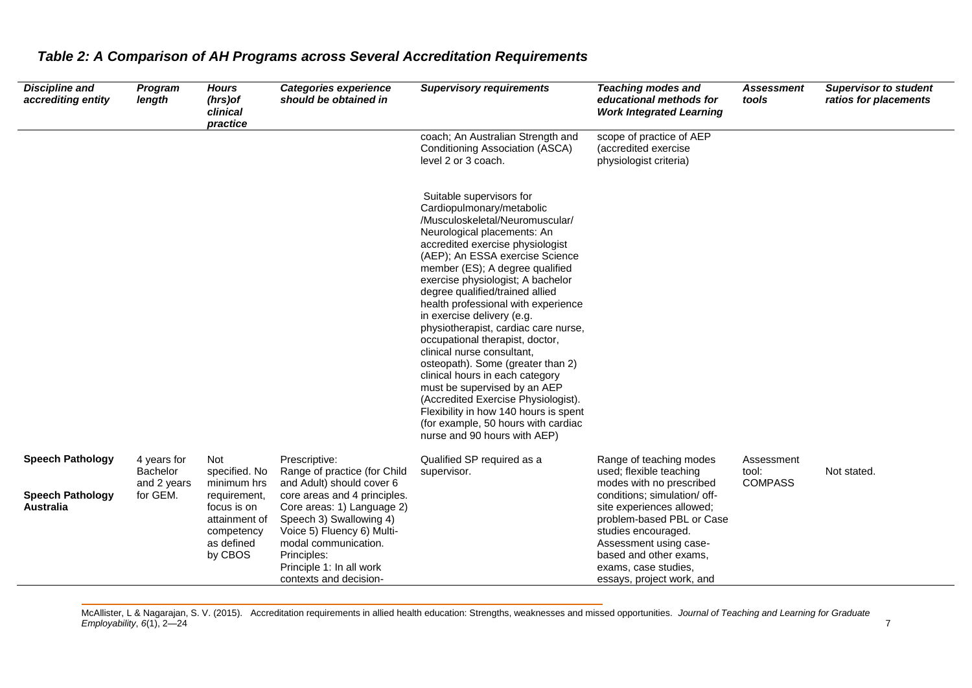| <b>Discipline and</b><br>accrediting entity | Program<br>length                      | <b>Hours</b><br>(hrs) of<br>clinical<br>practice                                    | <b>Categories experience</b><br>should be obtained in                                                                                                                                                            | <b>Supervisory requirements</b>                                                                                                                                                                                                                                                                                                                                                                                                                                                                                                                                                                                                                                                                                                                        | <b>Teaching modes and</b><br>educational methods for<br><b>Work Integrated Learning</b>                                                                                                                                | <b>Assessment</b><br>tools            | <b>Supervisor to student</b><br>ratios for placements |
|---------------------------------------------|----------------------------------------|-------------------------------------------------------------------------------------|------------------------------------------------------------------------------------------------------------------------------------------------------------------------------------------------------------------|--------------------------------------------------------------------------------------------------------------------------------------------------------------------------------------------------------------------------------------------------------------------------------------------------------------------------------------------------------------------------------------------------------------------------------------------------------------------------------------------------------------------------------------------------------------------------------------------------------------------------------------------------------------------------------------------------------------------------------------------------------|------------------------------------------------------------------------------------------------------------------------------------------------------------------------------------------------------------------------|---------------------------------------|-------------------------------------------------------|
|                                             |                                        |                                                                                     |                                                                                                                                                                                                                  | coach; An Australian Strength and<br>Conditioning Association (ASCA)<br>level 2 or 3 coach.                                                                                                                                                                                                                                                                                                                                                                                                                                                                                                                                                                                                                                                            | scope of practice of AEP<br>(accredited exercise)<br>physiologist criteria)                                                                                                                                            |                                       |                                                       |
|                                             |                                        |                                                                                     |                                                                                                                                                                                                                  | Suitable supervisors for<br>Cardiopulmonary/metabolic<br>/Musculoskeletal/Neuromuscular/<br>Neurological placements: An<br>accredited exercise physiologist<br>(AEP); An ESSA exercise Science<br>member (ES); A degree qualified<br>exercise physiologist; A bachelor<br>degree qualified/trained allied<br>health professional with experience<br>in exercise delivery (e.g.<br>physiotherapist, cardiac care nurse,<br>occupational therapist, doctor,<br>clinical nurse consultant,<br>osteopath). Some (greater than 2)<br>clinical hours in each category<br>must be supervised by an AEP<br>(Accredited Exercise Physiologist).<br>Flexibility in how 140 hours is spent<br>(for example, 50 hours with cardiac<br>nurse and 90 hours with AEP) |                                                                                                                                                                                                                        |                                       |                                                       |
| <b>Speech Pathology</b>                     | 4 years for<br>Bachelor<br>and 2 years | Not<br>specified. No<br>minimum hrs                                                 | Prescriptive:<br>Range of practice (for Child<br>and Adult) should cover 6                                                                                                                                       | Qualified SP required as a<br>supervisor.                                                                                                                                                                                                                                                                                                                                                                                                                                                                                                                                                                                                                                                                                                              | Range of teaching modes<br>used; flexible teaching<br>modes with no prescribed                                                                                                                                         | Assessment<br>tool:<br><b>COMPASS</b> | Not stated.                                           |
| <b>Speech Pathology</b><br><b>Australia</b> | for GEM.                               | requirement,<br>focus is on<br>attainment of<br>competency<br>as defined<br>by CBOS | core areas and 4 principles.<br>Core areas: 1) Language 2)<br>Speech 3) Swallowing 4)<br>Voice 5) Fluency 6) Multi-<br>modal communication.<br>Principles:<br>Principle 1: In all work<br>contexts and decision- |                                                                                                                                                                                                                                                                                                                                                                                                                                                                                                                                                                                                                                                                                                                                                        | conditions; simulation/ off-<br>site experiences allowed;<br>problem-based PBL or Case<br>studies encouraged.<br>Assessment using case-<br>based and other exams.<br>exams, case studies,<br>essays, project work, and |                                       |                                                       |

McAllister, L & Nagarajan, S. V. (2015). Accreditation requirements in allied health education: Strengths, weaknesses and missed opportunities*. Journal of Teaching and Learning for Graduate Employability*, *6*(1), 2—24 7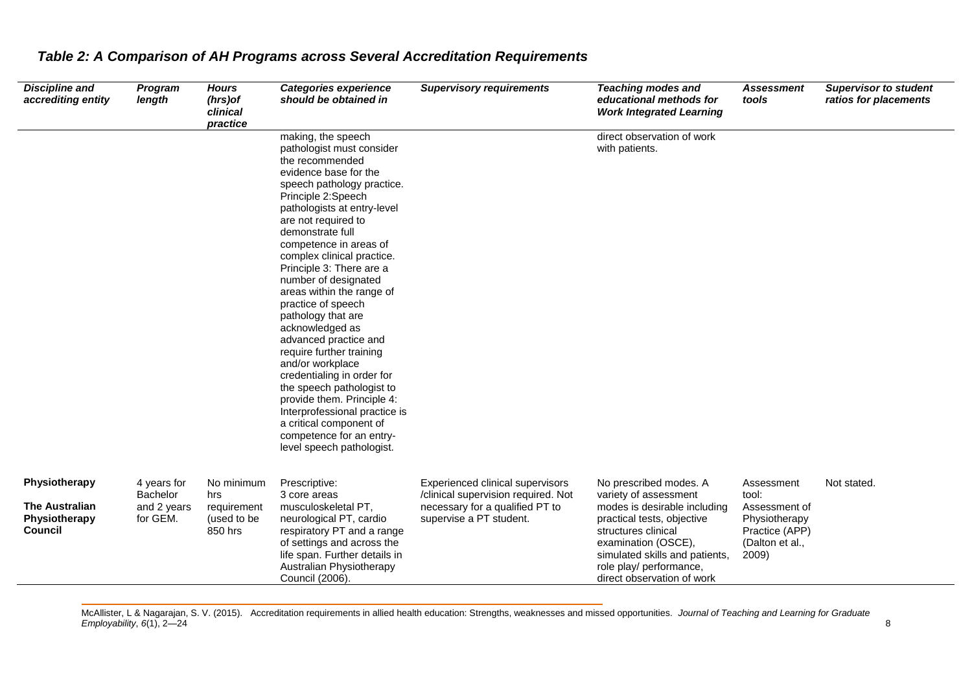| <b>Discipline and</b><br>accrediting entity                        | Program<br>length                                  | <b>Hours</b><br>(hrs) of<br>clinical<br>practice           | <b>Categories experience</b><br>should be obtained in                                                                                                                                                                                                                                                                                                                                                                                                                                                                                                                                                                                                                                                                    | <b>Supervisory requirements</b>                                                                                                       | <b>Teaching modes and</b><br>educational methods for<br><b>Work Integrated Learning</b>                                                                                                                                                                | <b>Assessment</b><br>tools                                                                          | <b>Supervisor to student</b><br>ratios for placements |
|--------------------------------------------------------------------|----------------------------------------------------|------------------------------------------------------------|--------------------------------------------------------------------------------------------------------------------------------------------------------------------------------------------------------------------------------------------------------------------------------------------------------------------------------------------------------------------------------------------------------------------------------------------------------------------------------------------------------------------------------------------------------------------------------------------------------------------------------------------------------------------------------------------------------------------------|---------------------------------------------------------------------------------------------------------------------------------------|--------------------------------------------------------------------------------------------------------------------------------------------------------------------------------------------------------------------------------------------------------|-----------------------------------------------------------------------------------------------------|-------------------------------------------------------|
|                                                                    |                                                    |                                                            | making, the speech<br>pathologist must consider<br>the recommended<br>evidence base for the<br>speech pathology practice.<br>Principle 2:Speech<br>pathologists at entry-level<br>are not required to<br>demonstrate full<br>competence in areas of<br>complex clinical practice.<br>Principle 3: There are a<br>number of designated<br>areas within the range of<br>practice of speech<br>pathology that are<br>acknowledged as<br>advanced practice and<br>require further training<br>and/or workplace<br>credentialing in order for<br>the speech pathologist to<br>provide them. Principle 4:<br>Interprofessional practice is<br>a critical component of<br>competence for an entry-<br>level speech pathologist. |                                                                                                                                       | direct observation of work<br>with patients.                                                                                                                                                                                                           |                                                                                                     |                                                       |
| Physiotherapy<br><b>The Australian</b><br>Physiotherapy<br>Council | 4 years for<br>Bachelor<br>and 2 years<br>for GEM. | No minimum<br>hrs<br>requirement<br>(used to be<br>850 hrs | Prescriptive:<br>3 core areas<br>musculoskeletal PT,<br>neurological PT, cardio<br>respiratory PT and a range<br>of settings and across the<br>life span. Further details in<br>Australian Physiotherapy<br>Council (2006).                                                                                                                                                                                                                                                                                                                                                                                                                                                                                              | Experienced clinical supervisors<br>/clinical supervision required. Not<br>necessary for a qualified PT to<br>supervise a PT student. | No prescribed modes. A<br>variety of assessment<br>modes is desirable including<br>practical tests, objective<br>structures clinical<br>examination (OSCE),<br>simulated skills and patients,<br>role play/ performance,<br>direct observation of work | Assessment<br>tool:<br>Assessment of<br>Physiotherapy<br>Practice (APP)<br>(Dalton et al.,<br>2009) | Not stated.                                           |

McAllister, L & Nagarajan, S. V. (2015). Accreditation requirements in allied health education: Strengths, weaknesses and missed opportunities*. Journal of Teaching and Learning for Graduate Employability*, *6*(1), 2—24 8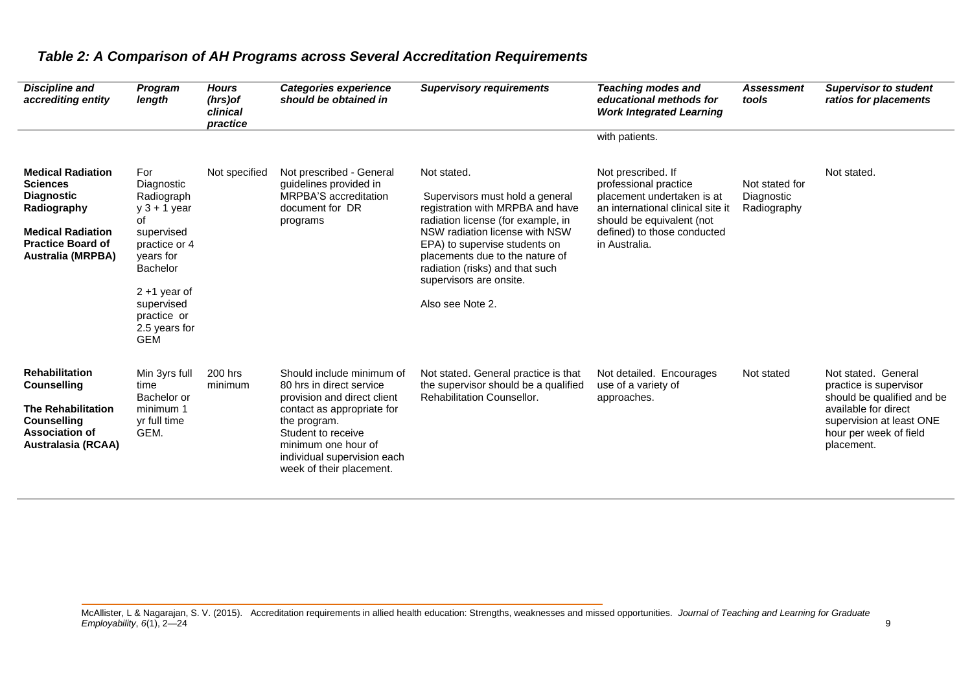| <b>Discipline and</b><br>accrediting entity                                                                                                                         | Program<br>length                                                                                                                                                                                     | <b>Hours</b><br>$(hrs)$ of<br>clinical<br>practice | Categories experience<br>should be obtained in                                                                                                                                                                                             | <b>Supervisory requirements</b>                                                                                                                                                                                                                                                                                  | <b>Teaching modes and</b><br>educational methods for<br><b>Work Integrated Learning</b>                                                                                                     | <b>Assessment</b><br>tools                  | <b>Supervisor to student</b><br>ratios for placements                                                                                                                   |
|---------------------------------------------------------------------------------------------------------------------------------------------------------------------|-------------------------------------------------------------------------------------------------------------------------------------------------------------------------------------------------------|----------------------------------------------------|--------------------------------------------------------------------------------------------------------------------------------------------------------------------------------------------------------------------------------------------|------------------------------------------------------------------------------------------------------------------------------------------------------------------------------------------------------------------------------------------------------------------------------------------------------------------|---------------------------------------------------------------------------------------------------------------------------------------------------------------------------------------------|---------------------------------------------|-------------------------------------------------------------------------------------------------------------------------------------------------------------------------|
|                                                                                                                                                                     |                                                                                                                                                                                                       |                                                    |                                                                                                                                                                                                                                            |                                                                                                                                                                                                                                                                                                                  | with patients.                                                                                                                                                                              |                                             |                                                                                                                                                                         |
| <b>Medical Radiation</b><br><b>Sciences</b><br><b>Diagnostic</b><br>Radiography<br><b>Medical Radiation</b><br><b>Practice Board of</b><br><b>Australia (MRPBA)</b> | For<br>Diagnostic<br>Radiograph<br>$y$ 3 + 1 year<br>οf<br>supervised<br>practice or 4<br>years for<br><b>Bachelor</b><br>$2 + 1$ year of<br>supervised<br>practice or<br>2.5 years for<br><b>GEM</b> | Not specified                                      | Not prescribed - General<br>guidelines provided in<br>MRPBA'S accreditation<br>document for DR<br>programs                                                                                                                                 | Not stated.<br>Supervisors must hold a general<br>registration with MRPBA and have<br>radiation license (for example, in<br>NSW radiation license with NSW<br>EPA) to supervise students on<br>placements due to the nature of<br>radiation (risks) and that such<br>supervisors are onsite.<br>Also see Note 2. | Not prescribed. If<br>professional practice<br>placement undertaken is at<br>an international clinical site it<br>should be equivalent (not<br>defined) to those conducted<br>in Australia. | Not stated for<br>Diagnostic<br>Radiography | Not stated.                                                                                                                                                             |
| <b>Rehabilitation</b><br><b>Counselling</b><br><b>The Rehabilitation</b><br><b>Counselling</b><br><b>Association of</b><br><b>Australasia (RCAA)</b>                | Min 3yrs full<br>time<br>Bachelor or<br>minimum 1<br>yr full time<br>GEM.                                                                                                                             | 200 hrs<br>minimum                                 | Should include minimum of<br>80 hrs in direct service<br>provision and direct client<br>contact as appropriate for<br>the program.<br>Student to receive<br>minimum one hour of<br>individual supervision each<br>week of their placement. | Not stated. General practice is that<br>the supervisor should be a qualified<br>Rehabilitation Counsellor.                                                                                                                                                                                                       | Not detailed. Encourages<br>use of a variety of<br>approaches.                                                                                                                              | Not stated                                  | Not stated. General<br>practice is supervisor<br>should be qualified and be<br>available for direct<br>supervision at least ONE<br>hour per week of field<br>placement. |

McAllister, L & Nagarajan, S. V. (2015). Accreditation requirements in allied health education: Strengths, weaknesses and missed opportunities*. Journal of Teaching and Learning for Graduate Employability*, *6*(1), 2—24 9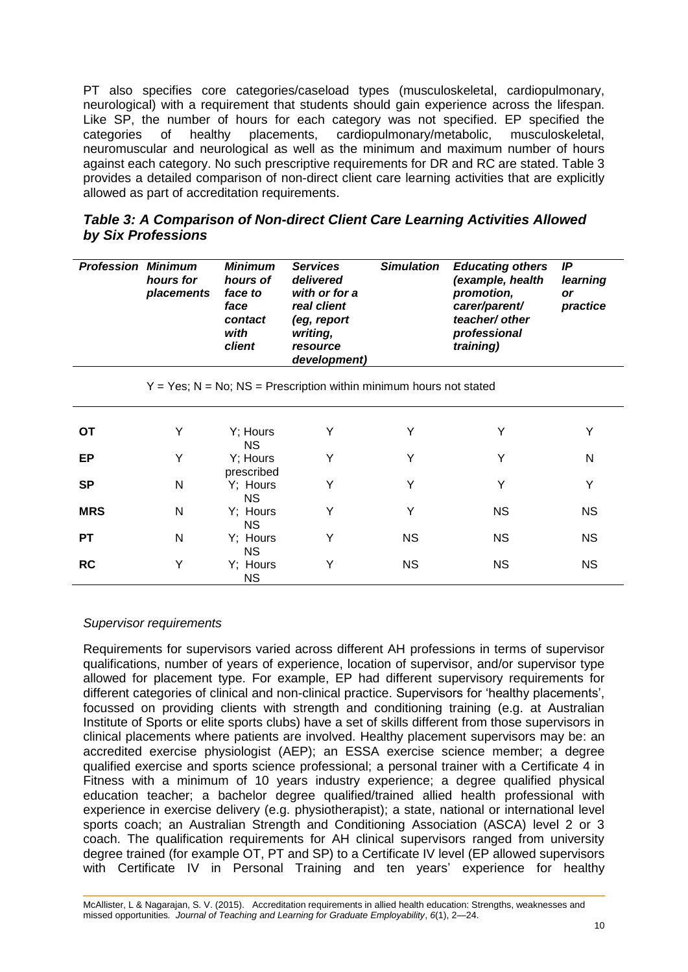PT also specifies core categories/caseload types (musculoskeletal, cardiopulmonary, neurological) with a requirement that students should gain experience across the lifespan. Like SP, the number of hours for each category was not specified. EP specified the categories of healthy placements, cardiopulmonary/metabolic, musculoskeletal. categories of healthy placements, cardiopulmonary/metabolic, musculoskeletal, neuromuscular and neurological as well as the minimum and maximum number of hours against each category. No such prescriptive requirements for DR and RC are stated. Table 3 provides a detailed comparison of non-direct client care learning activities that are explicitly allowed as part of accreditation requirements.

| Table 3: A Comparison of Non-direct Client Care Learning Activities Allowed |  |
|-----------------------------------------------------------------------------|--|
| by Six Professions                                                          |  |

| <b>Profession</b> | <b>Minimum</b><br>hours for<br>placements | <b>Minimum</b><br>hours of<br>face to<br>face<br>contact<br>with<br><b>client</b> | <b>Simulation</b><br><b>Educating others</b><br><b>Services</b><br>(example, health<br>delivered<br>with or for a<br>promotion,<br>carer/parent/<br>real client<br>teacher/ other<br>(eg, report<br>writing,<br>professional<br>training)<br>resource<br>development) |   | IP<br>learning<br>or<br>practice |   |
|-------------------|-------------------------------------------|-----------------------------------------------------------------------------------|-----------------------------------------------------------------------------------------------------------------------------------------------------------------------------------------------------------------------------------------------------------------------|---|----------------------------------|---|
|                   |                                           |                                                                                   | $Y = Yes$ ; N = No; NS = Prescription within minimum hours not stated                                                                                                                                                                                                 |   |                                  |   |
| ОT                | Y                                         | Y; Hours<br>NS.                                                                   | Υ                                                                                                                                                                                                                                                                     | Y | Y                                | Y |
| EP                |                                           | Y; Hours                                                                          | Y                                                                                                                                                                                                                                                                     |   |                                  | N |

Y Y Y Y

Y Y NS NS

Y NS NS NS

Y NS NS NS

prescribed

NS

NS

NS

NS

#### *Supervisor requirements*

**SP** N Y; Hours

**MRS** N Y; Hours

**PT** N Y; Hours

**RC** Y Y; Hours

Requirements for supervisors varied across different AH professions in terms of supervisor qualifications, number of years of experience, location of supervisor, and/or supervisor type allowed for placement type. For example, EP had different supervisory requirements for different categories of clinical and non-clinical practice. Supervisors for 'healthy placements', focussed on providing clients with strength and conditioning training (e.g. at Australian Institute of Sports or elite sports clubs) have a set of skills different from those supervisors in clinical placements where patients are involved. Healthy placement supervisors may be: an accredited exercise physiologist (AEP); an ESSA exercise science member; a degree qualified exercise and sports science professional; a personal trainer with a Certificate 4 in Fitness with a minimum of 10 years industry experience; a degree qualified physical education teacher; a bachelor degree qualified/trained allied health professional with experience in exercise delivery (e.g. physiotherapist); a state, national or international level sports coach; an Australian Strength and Conditioning Association (ASCA) level 2 or 3 coach. The qualification requirements for AH clinical supervisors ranged from university degree trained (for example OT, PT and SP) to a Certificate IV level (EP allowed supervisors with Certificate IV in Personal Training and ten years' experience for healthy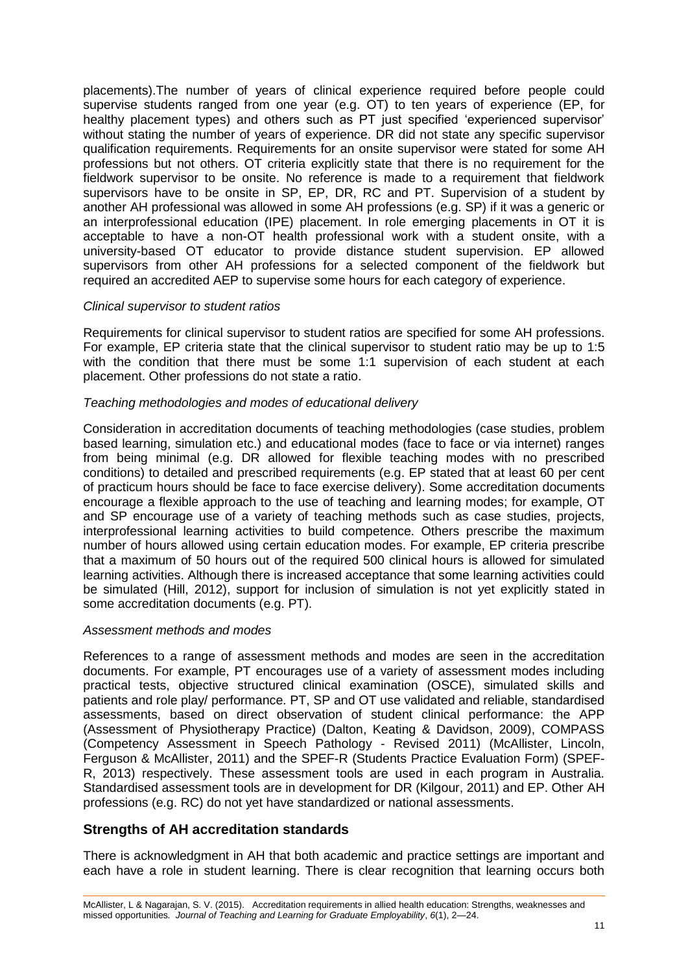placements).The number of years of clinical experience required before people could supervise students ranged from one year (e.g. OT) to ten years of experience (EP, for healthy placement types) and others such as PT just specified 'experienced supervisor' without stating the number of years of experience. DR did not state any specific supervisor qualification requirements. Requirements for an onsite supervisor were stated for some AH professions but not others. OT criteria explicitly state that there is no requirement for the fieldwork supervisor to be onsite. No reference is made to a requirement that fieldwork supervisors have to be onsite in SP, EP, DR, RC and PT. Supervision of a student by another AH professional was allowed in some AH professions (e.g. SP) if it was a generic or an interprofessional education (IPE) placement. In role emerging placements in OT it is acceptable to have a non-OT health professional work with a student onsite, with a university-based OT educator to provide distance student supervision. EP allowed supervisors from other AH professions for a selected component of the fieldwork but required an accredited AEP to supervise some hours for each category of experience.

### *Clinical supervisor to student ratios*

Requirements for clinical supervisor to student ratios are specified for some AH professions. For example, EP criteria state that the clinical supervisor to student ratio may be up to 1:5 with the condition that there must be some 1:1 supervision of each student at each placement. Other professions do not state a ratio.

### *Teaching methodologies and modes of educational delivery*

Consideration in accreditation documents of teaching methodologies (case studies, problem based learning, simulation etc.) and educational modes (face to face or via internet) ranges from being minimal (e.g. DR allowed for flexible teaching modes with no prescribed conditions) to detailed and prescribed requirements (e.g. EP stated that at least 60 per cent of practicum hours should be face to face exercise delivery). Some accreditation documents encourage a flexible approach to the use of teaching and learning modes; for example, OT and SP encourage use of a variety of teaching methods such as case studies, projects, interprofessional learning activities to build competence. Others prescribe the maximum number of hours allowed using certain education modes. For example, EP criteria prescribe that a maximum of 50 hours out of the required 500 clinical hours is allowed for simulated learning activities. Although there is increased acceptance that some learning activities could be simulated (Hill, 2012), support for inclusion of simulation is not yet explicitly stated in some accreditation documents (e.g. PT).

### *Assessment methods and modes*

References to a range of assessment methods and modes are seen in the accreditation documents. For example, PT encourages use of a variety of assessment modes including practical tests, objective structured clinical examination (OSCE), simulated skills and patients and role play/ performance. PT, SP and OT use validated and reliable, standardised assessments, based on direct observation of student clinical performance: the APP (Assessment of Physiotherapy Practice) (Dalton, Keating & Davidson, 2009), COMPASS (Competency Assessment in Speech Pathology - Revised 2011) (McAllister, Lincoln, Ferguson & McAllister, 2011) and the SPEF-R (Students Practice Evaluation Form) (SPEF-R, 2013) respectively. These assessment tools are used in each program in Australia. Standardised assessment tools are in development for DR (Kilgour, 2011) and EP. Other AH professions (e.g. RC) do not yet have standardized or national assessments.

### **Strengths of AH accreditation standards**

There is acknowledgment in AH that both academic and practice settings are important and each have a role in student learning. There is clear recognition that learning occurs both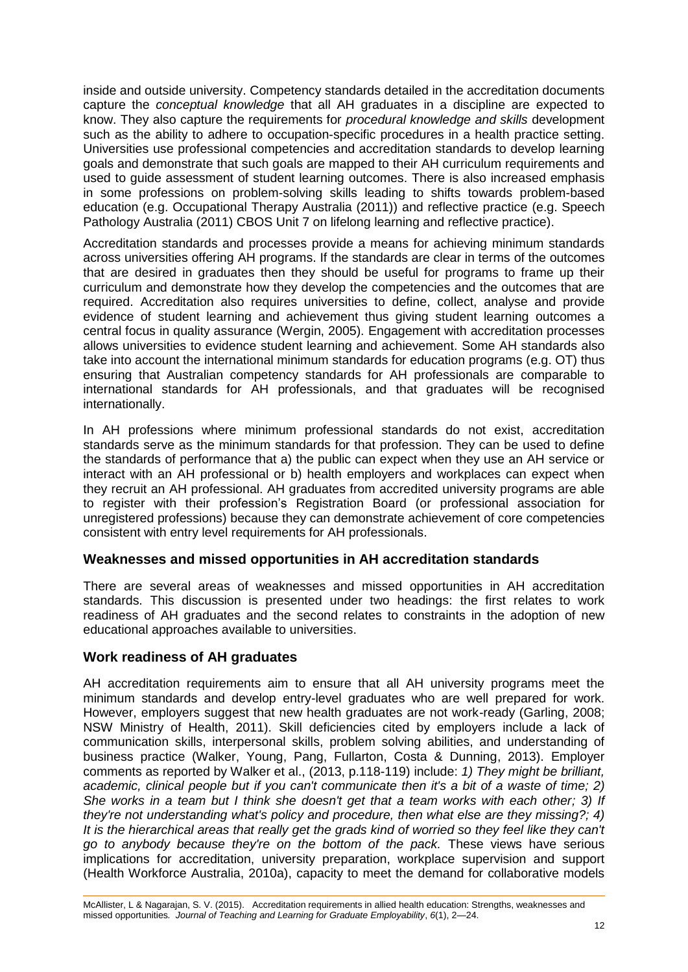inside and outside university. Competency standards detailed in the accreditation documents capture the *conceptual knowledge* that all AH graduates in a discipline are expected to know. They also capture the requirements for *procedural knowledge and skills* development such as the ability to adhere to occupation-specific procedures in a health practice setting. Universities use professional competencies and accreditation standards to develop learning goals and demonstrate that such goals are mapped to their AH curriculum requirements and used to guide assessment of student learning outcomes. There is also increased emphasis in some professions on problem-solving skills leading to shifts towards problem-based education (e.g. Occupational Therapy Australia (2011)) and reflective practice (e.g. Speech Pathology Australia (2011) CBOS Unit 7 on lifelong learning and reflective practice).

Accreditation standards and processes provide a means for achieving minimum standards across universities offering AH programs. If the standards are clear in terms of the outcomes that are desired in graduates then they should be useful for programs to frame up their curriculum and demonstrate how they develop the competencies and the outcomes that are required. Accreditation also requires universities to define, collect, analyse and provide evidence of student learning and achievement thus giving student learning outcomes a central focus in quality assurance (Wergin, 2005). Engagement with accreditation processes allows universities to evidence student learning and achievement. Some AH standards also take into account the international minimum standards for education programs (e.g. OT) thus ensuring that Australian competency standards for AH professionals are comparable to international standards for AH professionals, and that graduates will be recognised internationally.

In AH professions where minimum professional standards do not exist, accreditation standards serve as the minimum standards for that profession. They can be used to define the standards of performance that a) the public can expect when they use an AH service or interact with an AH professional or b) health employers and workplaces can expect when they recruit an AH professional. AH graduates from accredited university programs are able to register with their profession's Registration Board (or professional association for unregistered professions) because they can demonstrate achievement of core competencies consistent with entry level requirements for AH professionals.

### **Weaknesses and missed opportunities in AH accreditation standards**

There are several areas of weaknesses and missed opportunities in AH accreditation standards. This discussion is presented under two headings: the first relates to work readiness of AH graduates and the second relates to constraints in the adoption of new educational approaches available to universities.

### **Work readiness of AH graduates**

AH accreditation requirements aim to ensure that all AH university programs meet the minimum standards and develop entry-level graduates who are well prepared for work. However, employers suggest that new health graduates are not work-ready (Garling, 2008; NSW Ministry of Health, 2011). Skill deficiencies cited by employers include a lack of communication skills, interpersonal skills, problem solving abilities, and understanding of business practice (Walker, Young, Pang, Fullarton, Costa & Dunning, 2013). Employer comments as reported by Walker et al., (2013, p.118-119) include: *1) They might be brilliant, academic, clinical people but if you can't communicate then it's a bit of a waste of time; 2) She works in a team but I think she doesn't get that a team works with each other; 3) If they're not understanding what's policy and procedure, then what else are they missing?; 4) It is the hierarchical areas that really get the grads kind of worried so they feel like they can't go to anybody because they're on the bottom of the pack.* These views have serious implications for accreditation, university preparation, workplace supervision and support (Health Workforce Australia, 2010a), capacity to meet the demand for collaborative models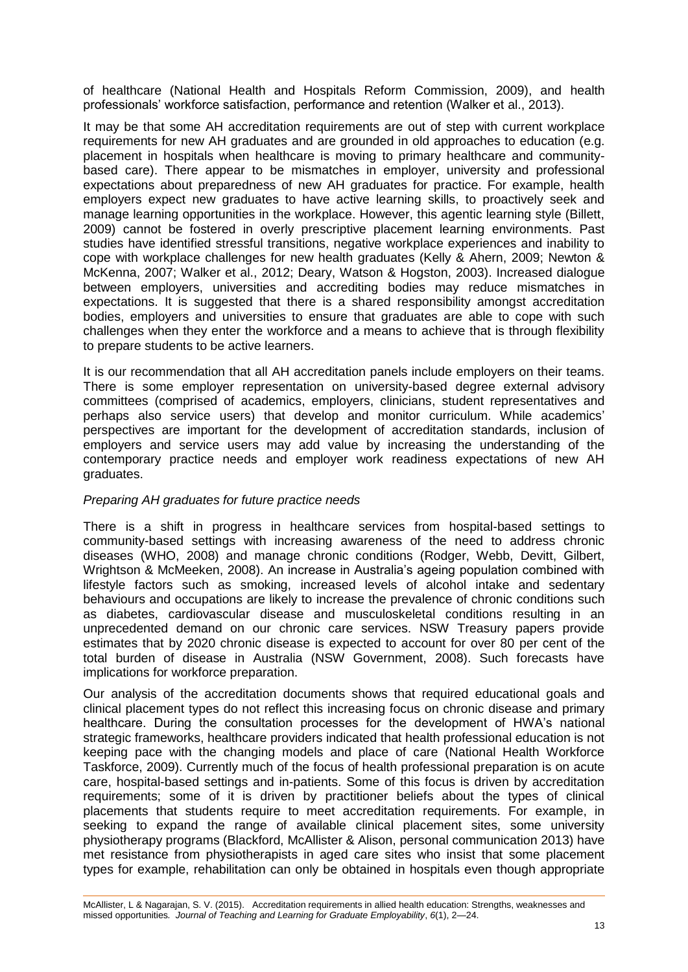of healthcare (National Health and Hospitals Reform Commission, 2009), and health professionals' workforce satisfaction, performance and retention (Walker et al., 2013).

It may be that some AH accreditation requirements are out of step with current workplace requirements for new AH graduates and are grounded in old approaches to education (e.g. placement in hospitals when healthcare is moving to primary healthcare and communitybased care). There appear to be mismatches in employer, university and professional expectations about preparedness of new AH graduates for practice. For example, health employers expect new graduates to have active learning skills, to proactively seek and manage learning opportunities in the workplace. However, this agentic learning style (Billett, 2009) cannot be fostered in overly prescriptive placement learning environments. Past studies have identified stressful transitions, negative workplace experiences and inability to cope with workplace challenges for new health graduates (Kelly & Ahern, 2009; Newton & McKenna, 2007; Walker et al., 2012; Deary, Watson & Hogston, 2003). Increased dialogue between employers, universities and accrediting bodies may reduce mismatches in expectations. It is suggested that there is a shared responsibility amongst accreditation bodies, employers and universities to ensure that graduates are able to cope with such challenges when they enter the workforce and a means to achieve that is through flexibility to prepare students to be active learners.

It is our recommendation that all AH accreditation panels include employers on their teams. There is some employer representation on university-based degree external advisory committees (comprised of academics, employers, clinicians, student representatives and perhaps also service users) that develop and monitor curriculum. While academics' perspectives are important for the development of accreditation standards, inclusion of employers and service users may add value by increasing the understanding of the contemporary practice needs and employer work readiness expectations of new AH graduates.

### *Preparing AH graduates for future practice needs*

There is a shift in progress in healthcare services from hospital-based settings to community-based settings with increasing awareness of the need to address chronic diseases (WHO, 2008) and manage chronic conditions (Rodger, Webb, Devitt, Gilbert, Wrightson & McMeeken, 2008). An increase in Australia's ageing population combined with lifestyle factors such as smoking, increased levels of alcohol intake and sedentary behaviours and occupations are likely to increase the prevalence of chronic conditions such as diabetes, cardiovascular disease and musculoskeletal conditions resulting in an unprecedented demand on our chronic care services. NSW Treasury papers provide estimates that by 2020 chronic disease is expected to account for over 80 per cent of the total burden of disease in Australia (NSW Government, 2008). Such forecasts have implications for workforce preparation.

Our analysis of the accreditation documents shows that required educational goals and clinical placement types do not reflect this increasing focus on chronic disease and primary healthcare. During the consultation processes for the development of HWA's national strategic frameworks, healthcare providers indicated that health professional education is not keeping pace with the changing models and place of care (National Health Workforce Taskforce, 2009). Currently much of the focus of health professional preparation is on acute care, hospital-based settings and in-patients. Some of this focus is driven by accreditation requirements; some of it is driven by practitioner beliefs about the types of clinical placements that students require to meet accreditation requirements. For example, in seeking to expand the range of available clinical placement sites, some university physiotherapy programs (Blackford, McAllister & Alison, personal communication 2013) have met resistance from physiotherapists in aged care sites who insist that some placement types for example, rehabilitation can only be obtained in hospitals even though appropriate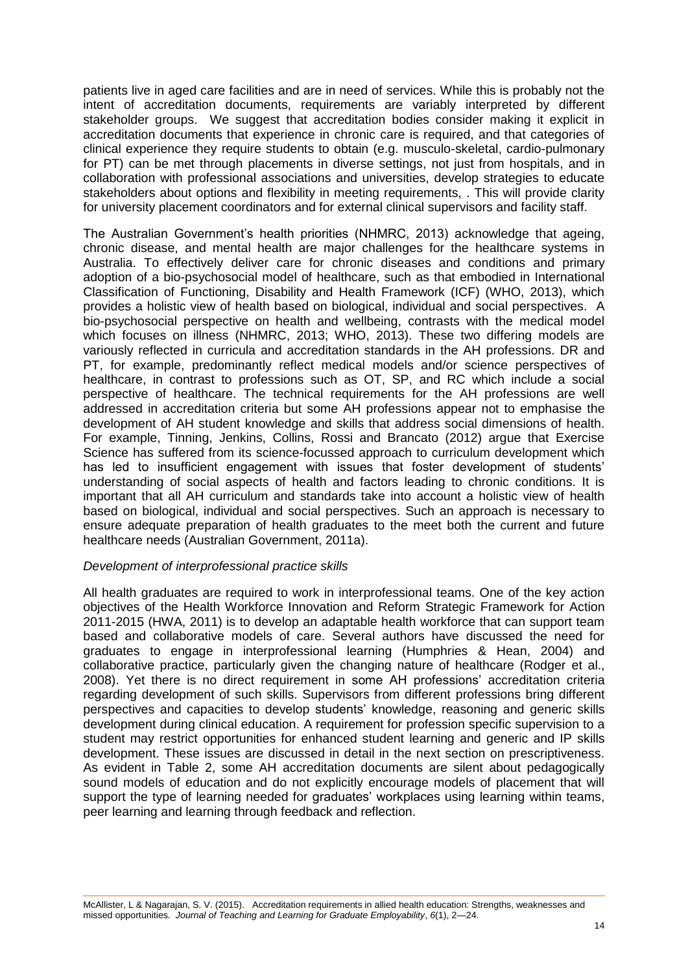patients live in aged care facilities and are in need of services. While this is probably not the intent of accreditation documents, requirements are variably interpreted by different stakeholder groups. We suggest that accreditation bodies consider making it explicit in accreditation documents that experience in chronic care is required, and that categories of clinical experience they require students to obtain (e.g. musculo-skeletal, cardio-pulmonary for PT) can be met through placements in diverse settings, not just from hospitals, and in collaboration with professional associations and universities, develop strategies to educate stakeholders about options and flexibility in meeting requirements, . This will provide clarity for university placement coordinators and for external clinical supervisors and facility staff.

The Australian Government's health priorities (NHMRC, 2013) acknowledge that ageing, chronic disease, and mental health are major challenges for the healthcare systems in Australia. To effectively deliver care for chronic diseases and conditions and primary adoption of a bio-psychosocial model of healthcare, such as that embodied in International Classification of Functioning, Disability and Health Framework (ICF) (WHO, 2013), which provides a holistic view of health based on biological, individual and social perspectives. A bio-psychosocial perspective on health and wellbeing, contrasts with the medical model which focuses on illness (NHMRC, 2013; WHO, 2013). These two differing models are variously reflected in curricula and accreditation standards in the AH professions. DR and PT, for example, predominantly reflect medical models and/or science perspectives of healthcare, in contrast to professions such as OT, SP, and RC which include a social perspective of healthcare. The technical requirements for the AH professions are well addressed in accreditation criteria but some AH professions appear not to emphasise the development of AH student knowledge and skills that address social dimensions of health. For example, Tinning, Jenkins, Collins, Rossi and Brancato (2012) argue that Exercise Science has suffered from its science-focussed approach to curriculum development which has led to insufficient engagement with issues that foster development of students' understanding of social aspects of health and factors leading to chronic conditions. It is important that all AH curriculum and standards take into account a holistic view of health based on biological, individual and social perspectives. Such an approach is necessary to ensure adequate preparation of health graduates to the meet both the current and future healthcare needs (Australian Government, 2011a).

### *Development of interprofessional practice skills*

All health graduates are required to work in interprofessional teams. One of the key action objectives of the Health Workforce Innovation and Reform Strategic Framework for Action 2011-2015 (HWA, 2011) is to develop an adaptable health workforce that can support team based and collaborative models of care. Several authors have discussed the need for graduates to engage in interprofessional learning (Humphries & Hean, 2004) and collaborative practice, particularly given the changing nature of healthcare (Rodger et al., 2008). Yet there is no direct requirement in some AH professions' accreditation criteria regarding development of such skills. Supervisors from different professions bring different perspectives and capacities to develop students' knowledge, reasoning and generic skills development during clinical education. A requirement for profession specific supervision to a student may restrict opportunities for enhanced student learning and generic and IP skills development. These issues are discussed in detail in the next section on prescriptiveness. As evident in Table 2, some AH accreditation documents are silent about pedagogically sound models of education and do not explicitly encourage models of placement that will support the type of learning needed for graduates' workplaces using learning within teams, peer learning and learning through feedback and reflection.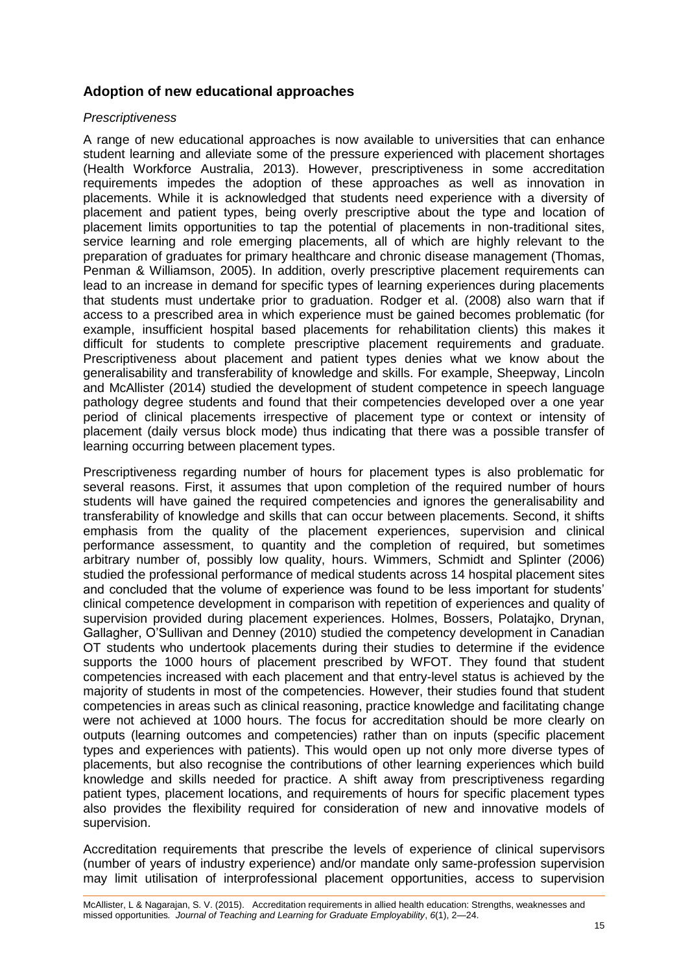# **Adoption of new educational approaches**

#### *Prescriptiveness*

A range of new educational approaches is now available to universities that can enhance student learning and alleviate some of the pressure experienced with placement shortages (Health Workforce Australia, 2013). However, prescriptiveness in some accreditation requirements impedes the adoption of these approaches as well as innovation in placements. While it is acknowledged that students need experience with a diversity of placement and patient types, being overly prescriptive about the type and location of placement limits opportunities to tap the potential of placements in non-traditional sites, service learning and role emerging placements, all of which are highly relevant to the preparation of graduates for primary healthcare and chronic disease management (Thomas, Penman & Williamson, 2005). In addition, overly prescriptive placement requirements can lead to an increase in demand for specific types of learning experiences during placements that students must undertake prior to graduation. Rodger et al. (2008) also warn that if access to a prescribed area in which experience must be gained becomes problematic (for example, insufficient hospital based placements for rehabilitation clients) this makes it difficult for students to complete prescriptive placement requirements and graduate. Prescriptiveness about placement and patient types denies what we know about the generalisability and transferability of knowledge and skills. For example, Sheepway, Lincoln and McAllister (2014) studied the development of student competence in speech language pathology degree students and found that their competencies developed over a one year period of clinical placements irrespective of placement type or context or intensity of placement (daily versus block mode) thus indicating that there was a possible transfer of learning occurring between placement types.

Prescriptiveness regarding number of hours for placement types is also problematic for several reasons. First, it assumes that upon completion of the required number of hours students will have gained the required competencies and ignores the generalisability and transferability of knowledge and skills that can occur between placements. Second, it shifts emphasis from the quality of the placement experiences, supervision and clinical performance assessment, to quantity and the completion of required, but sometimes arbitrary number of, possibly low quality, hours. Wimmers, Schmidt and Splinter (2006) studied the professional performance of medical students across 14 hospital placement sites and concluded that the volume of experience was found to be less important for students' clinical competence development in comparison with repetition of experiences and quality of supervision provided during placement experiences. Holmes, Bossers, Polatajko, Drynan, Gallagher, O'Sullivan and Denney (2010) studied the competency development in Canadian OT students who undertook placements during their studies to determine if the evidence supports the 1000 hours of placement prescribed by WFOT. They found that student competencies increased with each placement and that entry-level status is achieved by the majority of students in most of the competencies. However, their studies found that student competencies in areas such as clinical reasoning, practice knowledge and facilitating change were not achieved at 1000 hours. The focus for accreditation should be more clearly on outputs (learning outcomes and competencies) rather than on inputs (specific placement types and experiences with patients). This would open up not only more diverse types of placements, but also recognise the contributions of other learning experiences which build knowledge and skills needed for practice. A shift away from prescriptiveness regarding patient types, placement locations, and requirements of hours for specific placement types also provides the flexibility required for consideration of new and innovative models of supervision.

Accreditation requirements that prescribe the levels of experience of clinical supervisors (number of years of industry experience) and/or mandate only same-profession supervision may limit utilisation of interprofessional placement opportunities, access to supervision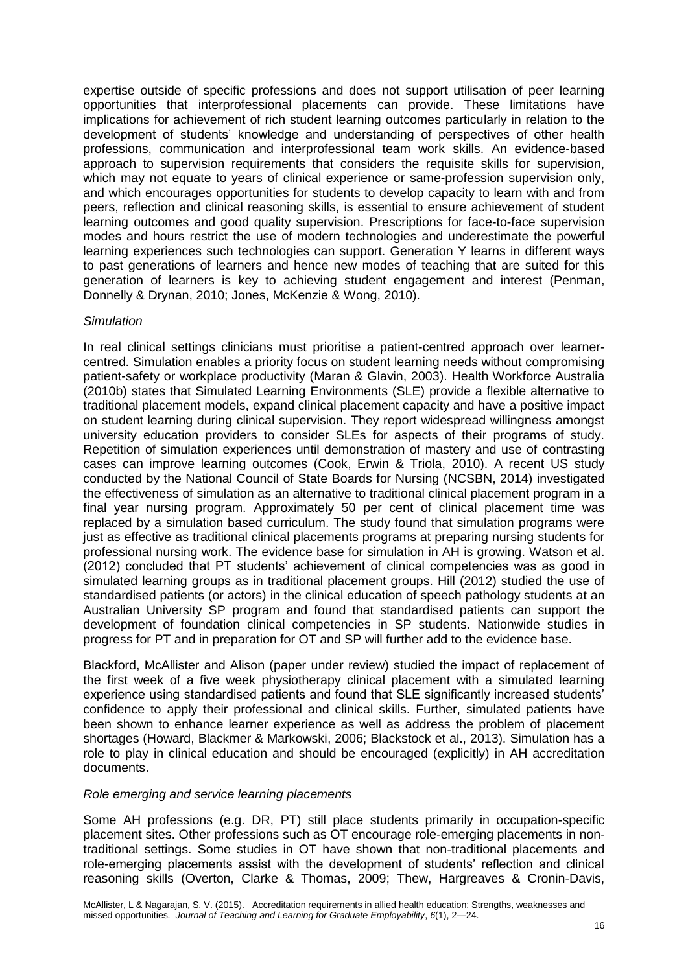expertise outside of specific professions and does not support utilisation of peer learning opportunities that interprofessional placements can provide. These limitations have implications for achievement of rich student learning outcomes particularly in relation to the development of students' knowledge and understanding of perspectives of other health professions, communication and interprofessional team work skills. An evidence-based approach to supervision requirements that considers the requisite skills for supervision, which may not equate to years of clinical experience or same-profession supervision only. and which encourages opportunities for students to develop capacity to learn with and from peers, reflection and clinical reasoning skills, is essential to ensure achievement of student learning outcomes and good quality supervision. Prescriptions for face-to-face supervision modes and hours restrict the use of modern technologies and underestimate the powerful learning experiences such technologies can support. Generation Y learns in different ways to past generations of learners and hence new modes of teaching that are suited for this generation of learners is key to achieving student engagement and interest (Penman, Donnelly & Drynan, 2010; Jones, McKenzie & Wong, 2010).

### *Simulation*

In real clinical settings clinicians must prioritise a patient-centred approach over learnercentred. Simulation enables a priority focus on student learning needs without compromising patient-safety or workplace productivity (Maran & Glavin, 2003). Health Workforce Australia (2010b) states that Simulated Learning Environments (SLE) provide a flexible alternative to traditional placement models, expand clinical placement capacity and have a positive impact on student learning during clinical supervision. They report widespread willingness amongst university education providers to consider SLEs for aspects of their programs of study. Repetition of simulation experiences until demonstration of mastery and use of contrasting cases can improve learning outcomes (Cook, Erwin & Triola, 2010). A recent US study conducted by the National Council of State Boards for Nursing (NCSBN, 2014) investigated the effectiveness of simulation as an alternative to traditional clinical placement program in a final year nursing program. Approximately 50 per cent of clinical placement time was replaced by a simulation based curriculum. The study found that simulation programs were just as effective as traditional clinical placements programs at preparing nursing students for professional nursing work. The evidence base for simulation in AH is growing. Watson et al. (2012) concluded that PT students' achievement of clinical competencies was as good in simulated learning groups as in traditional placement groups. Hill (2012) studied the use of standardised patients (or actors) in the clinical education of speech pathology students at an Australian University SP program and found that standardised patients can support the development of foundation clinical competencies in SP students. Nationwide studies in progress for PT and in preparation for OT and SP will further add to the evidence base.

Blackford, McAllister and Alison (paper under review) studied the impact of replacement of the first week of a five week physiotherapy clinical placement with a simulated learning experience using standardised patients and found that SLE significantly increased students' confidence to apply their professional and clinical skills. Further, simulated patients have been shown to enhance learner experience as well as address the problem of placement shortages (Howard, Blackmer & Markowski, 2006; Blackstock et al., 2013). Simulation has a role to play in clinical education and should be encouraged (explicitly) in AH accreditation documents.

### *Role emerging and service learning placements*

Some AH professions (e.g. DR, PT) still place students primarily in occupation-specific placement sites. Other professions such as OT encourage role-emerging placements in nontraditional settings. Some studies in OT have shown that non-traditional placements and role-emerging placements assist with the development of students' reflection and clinical reasoning skills (Overton, Clarke & Thomas, 2009; Thew, Hargreaves & Cronin-Davis,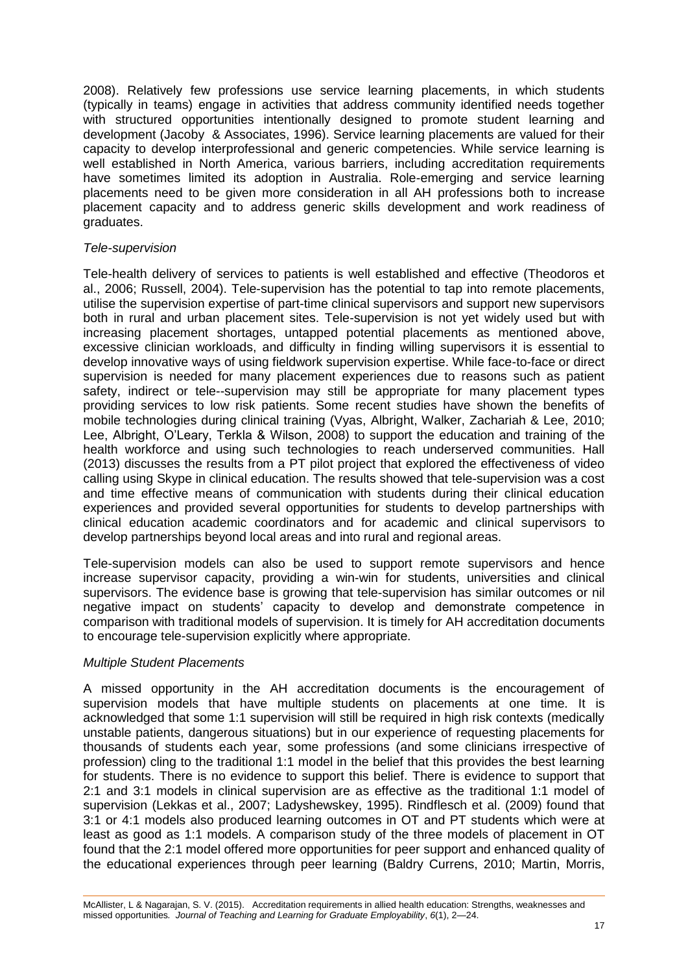2008). Relatively few professions use service learning placements, in which students (typically in teams) engage in activities that address community identified needs together with structured opportunities intentionally designed to promote student learning and development (Jacoby & Associates, 1996). Service learning placements are valued for their capacity to develop interprofessional and generic competencies. While service learning is well established in North America, various barriers, including accreditation requirements have sometimes limited its adoption in Australia. Role-emerging and service learning placements need to be given more consideration in all AH professions both to increase placement capacity and to address generic skills development and work readiness of graduates.

### *Tele-supervision*

Tele-health delivery of services to patients is well established and effective (Theodoros et al., 2006; Russell, 2004). Tele-supervision has the potential to tap into remote placements, utilise the supervision expertise of part-time clinical supervisors and support new supervisors both in rural and urban placement sites. Tele-supervision is not yet widely used but with increasing placement shortages, untapped potential placements as mentioned above, excessive clinician workloads, and difficulty in finding willing supervisors it is essential to develop innovative ways of using fieldwork supervision expertise. While face-to-face or direct supervision is needed for many placement experiences due to reasons such as patient safety, indirect or tele--supervision may still be appropriate for many placement types providing services to low risk patients. Some recent studies have shown the benefits of mobile technologies during clinical training (Vyas, Albright, Walker, Zachariah & Lee, 2010; Lee, Albright, O'Leary, Terkla & Wilson, 2008) to support the education and training of the health workforce and using such technologies to reach underserved communities. Hall (2013) discusses the results from a PT pilot project that explored the effectiveness of video calling using Skype in clinical education. The results showed that tele-supervision was a cost and time effective means of communication with students during their clinical education experiences and provided several opportunities for students to develop partnerships with clinical education academic coordinators and for academic and clinical supervisors to develop partnerships beyond local areas and into rural and regional areas.

Tele-supervision models can also be used to support remote supervisors and hence increase supervisor capacity, providing a win-win for students, universities and clinical supervisors. The evidence base is growing that tele-supervision has similar outcomes or nil negative impact on students' capacity to develop and demonstrate competence in comparison with traditional models of supervision. It is timely for AH accreditation documents to encourage tele-supervision explicitly where appropriate.

### *Multiple Student Placements*

A missed opportunity in the AH accreditation documents is the encouragement of supervision models that have multiple students on placements at one time. It is acknowledged that some 1:1 supervision will still be required in high risk contexts (medically unstable patients, dangerous situations) but in our experience of requesting placements for thousands of students each year, some professions (and some clinicians irrespective of profession) cling to the traditional 1:1 model in the belief that this provides the best learning for students. There is no evidence to support this belief. There is evidence to support that 2:1 and 3:1 models in clinical supervision are as effective as the traditional 1:1 model of supervision (Lekkas et al., 2007; Ladyshewskey, 1995). Rindflesch et al. (2009) found that 3:1 or 4:1 models also produced learning outcomes in OT and PT students which were at least as good as 1:1 models. A comparison study of the three models of placement in OT found that the 2:1 model offered more opportunities for peer support and enhanced quality of the educational experiences through peer learning (Baldry Currens, 2010; Martin, Morris,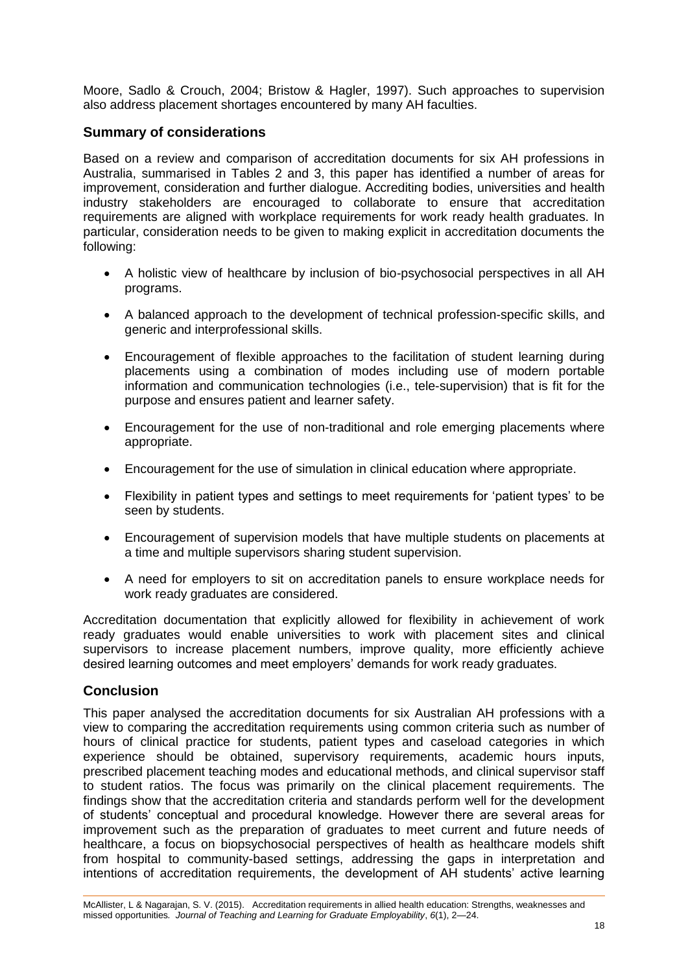Moore, Sadlo & Crouch, 2004; Bristow & Hagler, 1997). Such approaches to supervision also address placement shortages encountered by many AH faculties.

### **Summary of considerations**

Based on a review and comparison of accreditation documents for six AH professions in Australia, summarised in Tables 2 and 3, this paper has identified a number of areas for improvement, consideration and further dialogue. Accrediting bodies, universities and health industry stakeholders are encouraged to collaborate to ensure that accreditation requirements are aligned with workplace requirements for work ready health graduates. In particular, consideration needs to be given to making explicit in accreditation documents the following:

- A holistic view of healthcare by inclusion of bio-psychosocial perspectives in all AH programs.
- A balanced approach to the development of technical profession-specific skills, and generic and interprofessional skills.
- Encouragement of flexible approaches to the facilitation of student learning during placements using a combination of modes including use of modern portable information and communication technologies (i.e., tele-supervision) that is fit for the purpose and ensures patient and learner safety.
- Encouragement for the use of non-traditional and role emerging placements where appropriate.
- Encouragement for the use of simulation in clinical education where appropriate.
- Flexibility in patient types and settings to meet requirements for 'patient types' to be seen by students.
- Encouragement of supervision models that have multiple students on placements at a time and multiple supervisors sharing student supervision.
- A need for employers to sit on accreditation panels to ensure workplace needs for work ready graduates are considered.

Accreditation documentation that explicitly allowed for flexibility in achievement of work ready graduates would enable universities to work with placement sites and clinical supervisors to increase placement numbers, improve quality, more efficiently achieve desired learning outcomes and meet employers' demands for work ready graduates.

### **Conclusion**

This paper analysed the accreditation documents for six Australian AH professions with a view to comparing the accreditation requirements using common criteria such as number of hours of clinical practice for students, patient types and caseload categories in which experience should be obtained, supervisory requirements, academic hours inputs, prescribed placement teaching modes and educational methods, and clinical supervisor staff to student ratios. The focus was primarily on the clinical placement requirements. The findings show that the accreditation criteria and standards perform well for the development of students' conceptual and procedural knowledge. However there are several areas for improvement such as the preparation of graduates to meet current and future needs of healthcare, a focus on biopsychosocial perspectives of health as healthcare models shift from hospital to community-based settings, addressing the gaps in interpretation and intentions of accreditation requirements, the development of AH students' active learning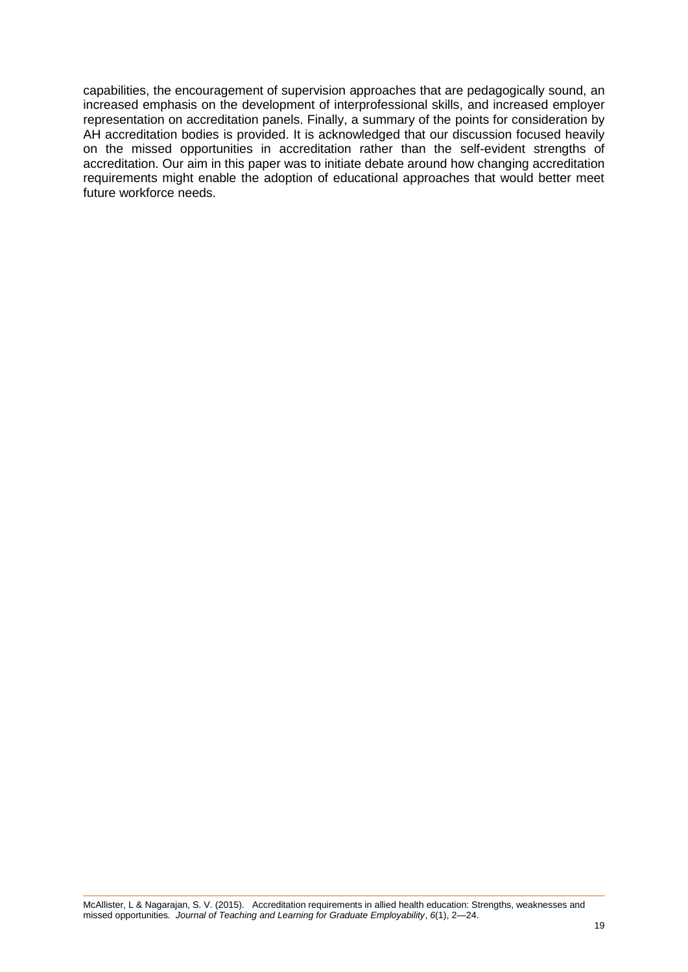capabilities, the encouragement of supervision approaches that are pedagogically sound, an increased emphasis on the development of interprofessional skills, and increased employer representation on accreditation panels. Finally, a summary of the points for consideration by AH accreditation bodies is provided. It is acknowledged that our discussion focused heavily on the missed opportunities in accreditation rather than the self-evident strengths of accreditation. Our aim in this paper was to initiate debate around how changing accreditation requirements might enable the adoption of educational approaches that would better meet future workforce needs.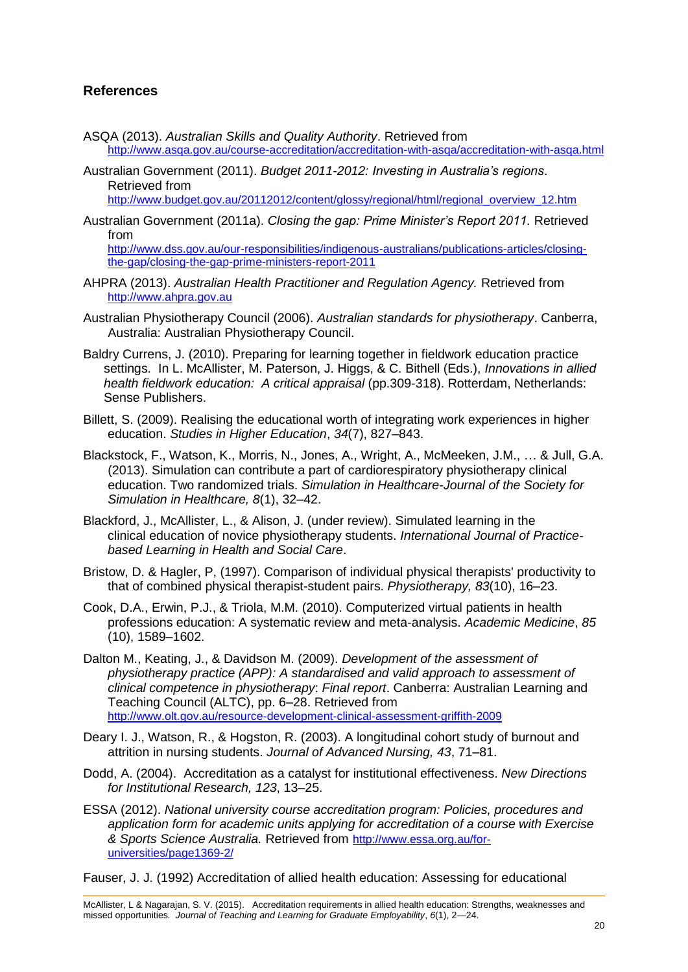# **References**

- ASQA (2013). *Australian Skills and Quality Authority*. Retrieved from <http://www.asqa.gov.au/course-accreditation/accreditation-with-asqa/accreditation-with-asqa.html>
- Australian Government (2011). *Budget 2011-2012: Investing in Australia's regions*. Retrieved from

[http://www.budget.gov.au/20112012/content/glossy/regional/html/regional\\_overview\\_12.htm](http://www.budget.gov.au/20112012/content/glossy/regional/html/regional_overview_12.htm)

Australian Government (2011a). *Closing the gap: Prime Minister's Report 2011.* Retrieved from

[http://www.dss.gov.au/our-responsibilities/indigenous-australians/publications-articles/closing](http://www.dss.gov.au/our-responsibilities/indigenous-australians/publications-articles/closing-the-gap/closing-the-gap-prime-ministers-report-2011)[the-gap/closing-the-gap-prime-ministers-report-2011](http://www.dss.gov.au/our-responsibilities/indigenous-australians/publications-articles/closing-the-gap/closing-the-gap-prime-ministers-report-2011)

- AHPRA (2013). *Australian Health Practitioner and Regulation Agency.* Retrieved from [http://www.ahpra.gov.au](http://www.ahpra.gov.au/)
- Australian Physiotherapy Council (2006). *Australian standards for physiotherapy*. Canberra, Australia: Australian Physiotherapy Council.
- Baldry Currens, J. (2010). Preparing for learning together in fieldwork education practice settings. In L. McAllister, M. Paterson, J. Higgs, & C. Bithell (Eds.), *Innovations in allied health fieldwork education: A critical appraisal* (pp.309-318). Rotterdam, Netherlands: Sense Publishers.
- Billett, S. (2009). Realising the educational worth of integrating work experiences in higher education. *Studies in Higher Education*, *34*(7), 827–843.
- [Blackstock, F.](http://www.ncbi.nlm.nih.gov/pubmed?term=Blackstock%20FC%5BAuthor%5D&cauthor=true&cauthor_uid=23250189), [Watson, K.,](http://www.ncbi.nlm.nih.gov/pubmed?term=Watson%20KM%5BAuthor%5D&cauthor=true&cauthor_uid=23250189) [Morris,](http://www.ncbi.nlm.nih.gov/pubmed?term=Morris%20NR%5BAuthor%5D&cauthor=true&cauthor_uid=23250189) N., [Jones, A.](http://www.ncbi.nlm.nih.gov/pubmed?term=Jones%20A%5BAuthor%5D&cauthor=true&cauthor_uid=23250189), [Wright, A.](http://www.ncbi.nlm.nih.gov/pubmed?term=Wright%20A%5BAuthor%5D&cauthor=true&cauthor_uid=23250189), [McMeeken, J.M.](http://www.ncbi.nlm.nih.gov/pubmed?term=McMeeken%20JM%5BAuthor%5D&cauthor=true&cauthor_uid=23250189), … & [Jull, G.A.](http://www.ncbi.nlm.nih.gov/pubmed?term=Jull%20GA%5BAuthor%5D&cauthor=true&cauthor_uid=23250189) (2013). Simulation can contribute a part of cardiorespiratory physiotherapy clinical education. Two randomized trials. *Simulation in Healthcare-Journal of the Society for Simulation in Healthcare, 8*(1), 32–42.
- Blackford, J., McAllister, L., & Alison, J. (under review). Simulated learning in the clinical education of novice physiotherapy students. *International Journal of Practicebased Learning in Health and Social Care*.
- Bristow, D. & Hagler, P, (1997). Comparison of individual physical therapists' productivity to that of combined physical therapist-student pairs. *Physiotherapy, 83*(10), 16–23.
- Cook, D.A., Erwin, P.J., & Triola, M.M. (2010). Computerized virtual patients in health professions education: A systematic review and meta-analysis. *Academic Medicine*, *85* (10), 1589–1602.
- Dalton M., Keating, J., & Davidson M. (2009). *Development of the assessment of physiotherapy practice (APP): A standardised and valid approach to assessment of clinical competence in physiotherapy*: *Final report*. Canberra: Australian Learning and Teaching Council (ALTC), pp. 6–28. Retrieved from <http://www.olt.gov.au/resource-development-clinical-assessment-griffith-2009>
- Deary I. J., Watson, R., & Hogston, R. (2003). A longitudinal cohort study of burnout and attrition in nursing students. *Journal of Advanced Nursing, 43*, 71–81.
- Dodd, A. (2004). Accreditation as a catalyst for institutional effectiveness. *New Directions for Institutional Research, 123*, 13–25.
- ESSA (2012). *National university course accreditation program: Policies, procedures and application form for academic units applying for accreditation of a course with Exercise & Sports Science Australia.* Retrieved from [http://www.essa.org.au/for](http://www.essa.org.au/for-universities/page1369-2/)[universities/page1369-2/](http://www.essa.org.au/for-universities/page1369-2/)

Fauser, J. J. (1992) Accreditation of allied health education: Assessing for educational

McAllister, L & Nagarajan, S. V. (2015). Accreditation requirements in allied health education: Strengths, weaknesses and missed opportunities*. Journal of Teaching and Learning for Graduate Employability*, *6*(1), 2—24.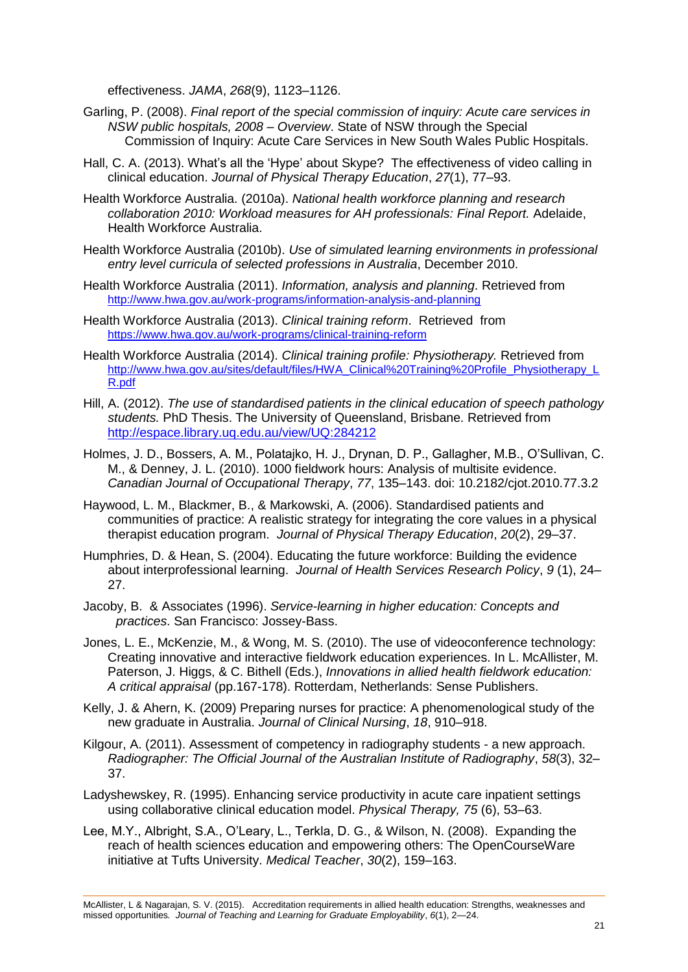effectiveness. *JAMA*, *268*(9), 1123–1126.

- Garling, P. (2008). *Final report of the special commission of inquiry: Acute care services in NSW public hospitals, 2008 – Overview*. State of NSW through the Special Commission of Inquiry: Acute Care Services in New South Wales Public Hospitals.
- Hall, C. A. (2013). What's all the 'Hype' about Skype? The effectiveness of video calling in clinical education. *Journal of Physical Therapy Education*, *27*(1), 77–93.
- Health Workforce Australia. (2010a). *National health workforce planning and research collaboration 2010: Workload measures for AH professionals: Final Report.* Adelaide, Health Workforce Australia.
- Health Workforce Australia (2010b). *Use of simulated learning environments in professional entry level curricula of selected professions in Australia*, December 2010.
- Health Workforce Australia (2011). *Information, analysis and planning*. Retrieved from <http://www.hwa.gov.au/work-programs/information-analysis-and-planning>
- Health Workforce Australia (2013). *Clinical training reform*. Retrieved from <https://www.hwa.gov.au/work-programs/clinical-training-reform>
- Health Workforce Australia (2014). *Clinical training profile: Physiotherapy.* Retrieved from [http://www.hwa.gov.au/sites/default/files/HWA\\_Clinical%20Training%20Profile\\_Physiotherapy\\_L](http://www.hwa.gov.au/sites/default/files/HWA_Clinical%20Training%20Profile_Physiotherapy_LR.pdf) [R.pdf](http://www.hwa.gov.au/sites/default/files/HWA_Clinical%20Training%20Profile_Physiotherapy_LR.pdf)
- Hill, A. (2012). *The use of standardised patients in the clinical education of speech pathology students.* PhD Thesis. The University of Queensland, Brisbane. Retrieved from <http://espace.library.uq.edu.au/view/UQ:284212>
- Holmes, J. D., Bossers, A. M., Polatajko, H. J., Drynan, D. P., Gallagher, M.B., O'Sullivan, C. M., & Denney, J. L. (2010). 1000 fieldwork hours: Analysis of multisite evidence. *Canadian Journal of Occupational Therapy*, *77*, 135–143. doi: 10.2182/cjot.2010.77.3.2
- Haywood, L. M., Blackmer, B., & Markowski, A. (2006). Standardised patients and communities of practice: A realistic strategy for integrating the core values in a physical therapist education program. *Journal of Physical Therapy Education*, *20*(2), 29–37.
- Humphries, D. & Hean, S. (2004). Educating the future workforce: Building the evidence about interprofessional learning. *Journal of Health Services Research Policy*, *9* (1), 24– 27.
- Jacoby, B. & Associates (1996). *Service-learning in higher education: Concepts and practices*. San Francisco: Jossey-Bass.
- Jones, L. E., McKenzie, M., & Wong, M. S. (2010). The use of videoconference technology: Creating innovative and interactive fieldwork education experiences. In L. McAllister, M. Paterson, J. Higgs, & C. Bithell (Eds.), *Innovations in allied health fieldwork education: A critical appraisal* (pp.167-178). Rotterdam, Netherlands: Sense Publishers.
- Kelly, J. & Ahern, K. (2009) Preparing nurses for practice: A phenomenological study of the new graduate in Australia. *Journal of Clinical Nursing*, *18*, 910–918.
- Kilgour, A. (2011). Assessment of competency in radiography students a new approach. *Radiographer: The Official Journal of the Australian Institute of Radiography*, *58*(3), 32– 37.
- Ladyshewskey, R. (1995). Enhancing service productivity in acute care inpatient settings using collaborative clinical education model. *Physical Therapy, 75* (6), 53–63.
- Lee, M.Y., Albright, S.A., O'Leary, L., Terkla, D. G., & Wilson, N. (2008). Expanding the reach of health sciences education and empowering others: The OpenCourseWare initiative at Tufts University. *Medical Teacher*, *30*(2), 159–163.

McAllister, L & Nagarajan, S. V. (2015). Accreditation requirements in allied health education: Strengths, weaknesses and missed opportunities*. Journal of Teaching and Learning for Graduate Employability*, *6*(1), 2—24.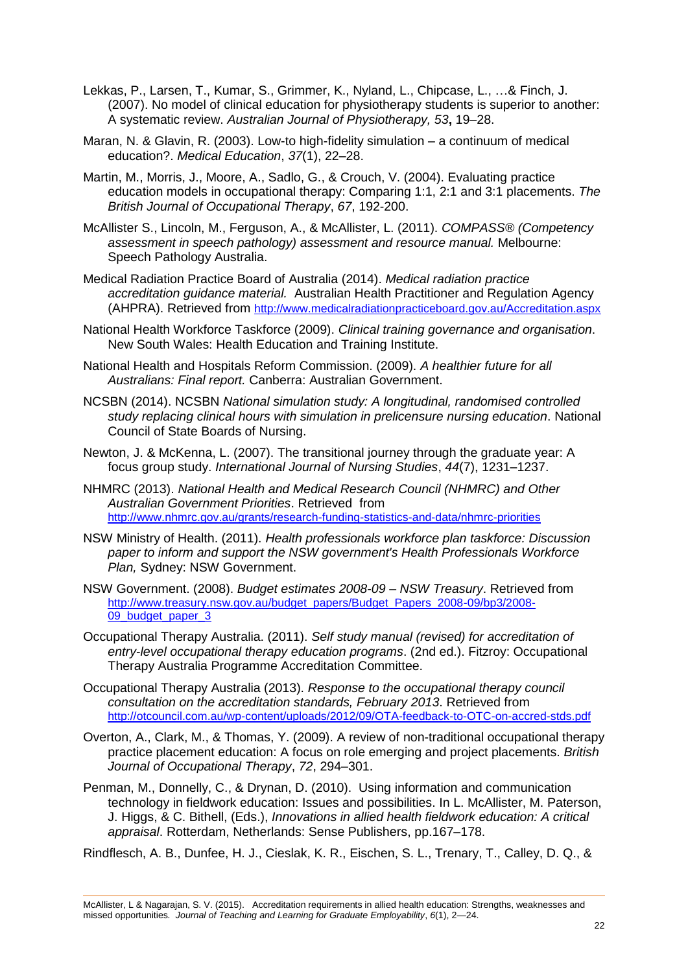- Lekkas, P., Larsen, T., Kumar, S., Grimmer, K., Nyland, L., Chipcase, L., …& Finch, J. (2007). No model of clinical education for physiotherapy students is superior to another: A systematic review. *Australian Journal of Physiotherapy, 53***,** 19–28.
- Maran, N. & Glavin, R. (2003). Low-to high-fidelity simulation a continuum of medical education?. *Medical Education*, *37*(1), 22–28.
- Martin, M., Morris, J., Moore, A., Sadlo, G., & Crouch, V. (2004). Evaluating practice education models in occupational therapy: Comparing 1:1, 2:1 and 3:1 placements. *The British Journal of Occupational Therapy*, *67*, 192-200.
- McAllister S., Lincoln, M., Ferguson, A., & McAllister, L. (2011). *COMPASS® (Competency assessment in speech pathology) assessment and resource manual.* Melbourne: Speech Pathology Australia.
- Medical Radiation Practice Board of Australia (2014). *Medical radiation practice accreditation guidance material.* Australian Health Practitioner and Regulation Agency (AHPRA). Retrieved from <http://www.medicalradiationpracticeboard.gov.au/Accreditation.aspx>
- National Health Workforce Taskforce (2009). *Clinical training governance and organisation*. New South Wales: Health Education and Training Institute.
- National Health and Hospitals Reform Commission. (2009). *A healthier future for all Australians: Final report.* Canberra: Australian Government.
- NCSBN (2014). NCSBN *National simulation study: A longitudinal, randomised controlled study replacing clinical hours with simulation in prelicensure nursing education*. National Council of State Boards of Nursing.
- Newton, J. & McKenna, L. (2007). The transitional journey through the graduate year: A focus group study. *International Journal of Nursing Studies*, *44*(7), 1231–1237.
- NHMRC (2013). *National Health and Medical Research Council (NHMRC) and Other Australian Government Priorities*. Retrieved from <http://www.nhmrc.gov.au/grants/research-funding-statistics-and-data/nhmrc-priorities>
- NSW Ministry of Health. (2011). *Health professionals workforce plan taskforce: Discussion paper to inform and support the NSW government's Health Professionals Workforce Plan,* Sydney: NSW Government.
- NSW Government. (2008). *Budget estimates 2008-09 – NSW Treasury*. Retrieved from [http://www.treasury.nsw.gov.au/budget\\_papers/Budget\\_Papers\\_2008-09/bp3/2008-](http://www.treasury.nsw.gov.au/budget_papers/Budget_Papers_2008-09/bp3/2008-09_budget_paper_3) 09 budget paper 3
- Occupational Therapy Australia. (2011). *Self study manual (revised) for accreditation of entry-level occupational therapy education programs*. (2nd ed.). Fitzroy: Occupational Therapy Australia Programme Accreditation Committee.
- Occupational Therapy Australia (2013). *Response to the occupational therapy council consultation on the accreditation standards, February 2013*. Retrieved from <http://otcouncil.com.au/wp-content/uploads/2012/09/OTA-feedback-to-OTC-on-accred-stds.pdf>
- Overton, A., Clark, M., & Thomas, Y. (2009). A review of non-traditional occupational therapy practice placement education: A focus on role emerging and project placements. *British Journal of Occupational Therapy*, *72*, 294–301.
- Penman, M., Donnelly, C., & Drynan, D. (2010). Using information and communication technology in fieldwork education: Issues and possibilities. In L. McAllister, M. Paterson, J. Higgs, & C. Bithell, (Eds.), *Innovations in allied health fieldwork education: A critical appraisal*. Rotterdam, Netherlands: Sense Publishers, pp.167–178.

Rindflesch, A. B., Dunfee, H. J., Cieslak, K. R., Eischen, S. L., Trenary, T., Calley, D. Q., &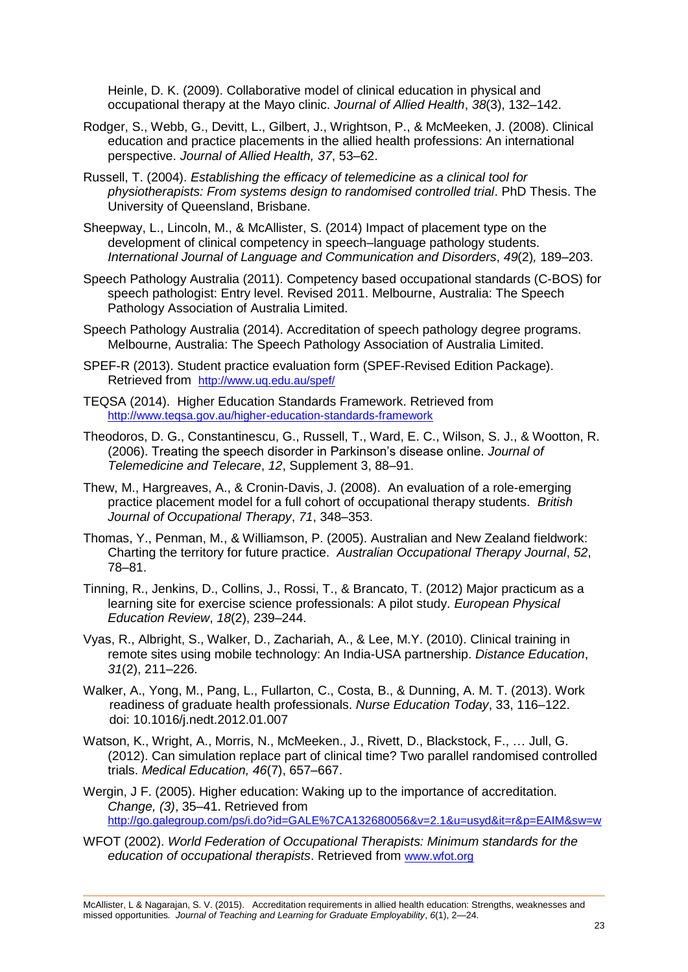Heinle, D. K. (2009). Collaborative model of clinical education in physical and occupational therapy at the Mayo clinic. *Journal of Allied Health*, *38*(3), 132–142.

- Rodger, S., Webb, G., Devitt, L., Gilbert, J., Wrightson, P., & McMeeken, J. (2008). Clinical education and practice placements in the allied health professions: An international perspective. *Journal of Allied Health, 37*, 53–62.
- Russell, T. (2004). *Establishing the efficacy of telemedicine as a clinical tool for physiotherapists: From systems design to randomised controlled trial*. PhD Thesis. The University of Queensland, Brisbane.
- Sheepway, L., Lincoln, M., & McAllister, S. (2014) Impact of placement type on the development of clinical competency in speech–language pathology students. *International Journal of Language and Communication and Disorders*, *49*(2)*,* 189–203.
- Speech Pathology Australia (2011). Competency based occupational standards (C-BOS) for speech pathologist: Entry level. Revised 2011. Melbourne, Australia: The Speech Pathology Association of Australia Limited.
- Speech Pathology Australia (2014). Accreditation of speech pathology degree programs. Melbourne, Australia: The Speech Pathology Association of Australia Limited.
- SPEF-R (2013). Student practice evaluation form (SPEF-Revised Edition Package). Retrieved from <http://www.uq.edu.au/spef/>
- TEQSA (2014). Higher Education Standards Framework. Retrieved from <http://www.teqsa.gov.au/higher-education-standards-framework>
- Theodoros, D. G., Constantinescu, G., Russell, T., Ward, E. C., Wilson, S. J., & Wootton, R. (2006). Treating the speech disorder in Parkinson's disease online. *Journal of Telemedicine and Telecare*, *12*, Supplement 3, 88–91.
- Thew, M., Hargreaves, A., & Cronin-Davis, J. (2008). An evaluation of a role-emerging practice placement model for a full cohort of occupational therapy students. *British Journal of Occupational Therapy*, *71*, 348–353.
- Thomas, Y., Penman, M., & Williamson, P. (2005). Australian and New Zealand fieldwork: Charting the territory for future practice. *Australian Occupational Therapy Journal*, *52*, 78–81.
- Tinning, R., Jenkins, D., Collins, J., Rossi, T., & Brancato, T. (2012) Major practicum as a learning site for exercise science professionals: A pilot study. *European Physical Education Review*, *18*(2), 239–244.
- Vyas, R., Albright, S., Walker, D., Zachariah, A., & Lee, M.Y. (2010). Clinical training in remote sites using mobile technology: An India-USA partnership. *Distance Education*, *31*(2), 211–226.
- Walker, A., Yong, M., Pang, L., Fullarton, C., Costa, B., & Dunning, A. M. T. (2013). Work readiness of graduate health professionals. *Nurse Education Today*, 33, 116–122. doi: 10.1016/j.nedt.2012.01.007
- Watson, K., Wright, A., Morris, N., McMeeken., J., Rivett, D., Blackstock, F., … Jull, G. (2012). Can simulation replace part of clinical time? Two parallel randomised controlled trials. *Medical Education, 46*(7), 657–667.
- Wergin, J F. (2005). Higher education: Waking up to the importance of accreditation. *Change, (3)*, 35–41. Retrieved from <http://go.galegroup.com/ps/i.do?id=GALE%7CA132680056&v=2.1&u=usyd&it=r&p=EAIM&sw=w>
- WFOT (2002). *World Federation of Occupational Therapists: Minimum standards for the education of occupational therapists*. Retrieved from [www.wfot.org](http://www.wfot.org/)

McAllister, L & Nagarajan, S. V. (2015). Accreditation requirements in allied health education: Strengths, weaknesses and missed opportunities*. Journal of Teaching and Learning for Graduate Employability*, *6*(1), 2—24.